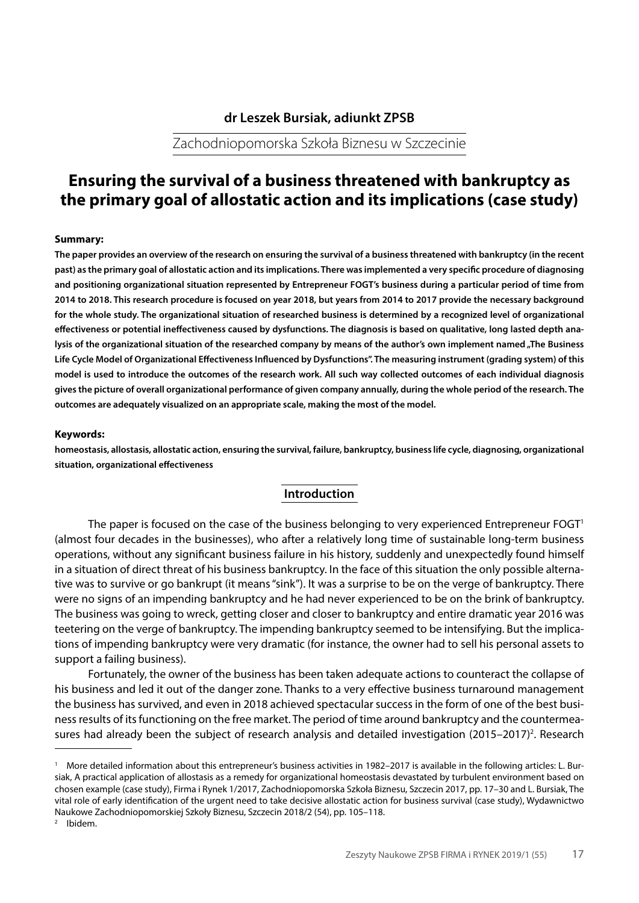## **dr Leszek Bursiak, adiunkt ZPSB**

Zachodniopomorska Szkoła Biznesu w Szczecinie

# **Ensuring the survival of a business threatened with bankruptcy as the primary goal of allostatic action and its implications (case study)**

#### **Summary:**

**The paper provides an overview of the research on ensuring the survival of a business threatened with bankruptcy (in the recent past) as the primary goal of allostatic action and its implications. There was implemented a very specific procedure of diagnosing and positioning organizational situation represented by Entrepreneur FOGT's business during a particular period of time from 2014 to 2018. This research procedure is focused on year 2018, but years from 2014 to 2017 provide the necessary background for the whole study. The organizational situation of researched business is determined by a recognized level of organizational effectiveness or potential ineffectiveness caused by dysfunctions. The diagnosis is based on qualitative, long lasted depth ana**lysis of the organizational situation of the researched company by means of the author's own implement named "The Business **Life Cycle Model of Organizational Effectiveness Influenced by Dysfunctions". The measuring instrument (grading system) of this model is used to introduce the outcomes of the research work. All such way collected outcomes of each individual diagnosis gives the picture of overall organizational performance of given company annually, during the whole period of the research. The outcomes are adequately visualized on an appropriate scale, making the most of the model.**

#### **Keywords:**

**homeostasis, allostasis, allostatic action, ensuring the survival, failure, bankruptcy, business life cycle, diagnosing, organizational situation, organizational effectiveness**

### **Introduction**

The paper is focused on the case of the business belonging to very experienced Entrepreneur FOGT<sup>1</sup> (almost four decades in the businesses), who after a relatively long time of sustainable long-term business operations, without any significant business failure in his history, suddenly and unexpectedly found himself in a situation of direct threat of his business bankruptcy. In the face of this situation the only possible alternative was to survive or go bankrupt (it means "sink"). It was a surprise to be on the verge of bankruptcy. There were no signs of an impending bankruptcy and he had never experienced to be on the brink of bankruptcy. The business was going to wreck, getting closer and closer to bankruptcy and entire dramatic year 2016 was teetering on the verge of bankruptcy. The impending bankruptcy seemed to be intensifying. But the implications of impending bankruptcy were very dramatic (for instance, the owner had to sell his personal assets to support a failing business).

Fortunately, the owner of the business has been taken adequate actions to counteract the collapse of his business and led it out of the danger zone. Thanks to a very effective business turnaround management the business has survived, and even in 2018 achieved spectacular success in the form of one of the best business results of its functioning on the free market. The period of time around bankruptcy and the countermeasures had already been the subject of research analysis and detailed investigation (2015–2017)<sup>2</sup>. Research

<sup>1</sup> More detailed information about this entrepreneur's business activities in 1982–2017 is available in the following articles: L. Bursiak, A practical application of allostasis as a remedy for organizational homeostasis devastated by turbulent environment based on chosen example (case study), Firma i Rynek 1/2017, Zachodniopomorska Szkoła Biznesu, Szczecin 2017, pp. 17–30 and L. Bursiak, The vital role of early identification of the urgent need to take decisive allostatic action for business survival (case study), Wydawnictwo Naukowe Zachodniopomorskiej Szkoły Biznesu, Szczecin 2018/2 (54), pp. 105–118.

<sup>2</sup> Ibidem.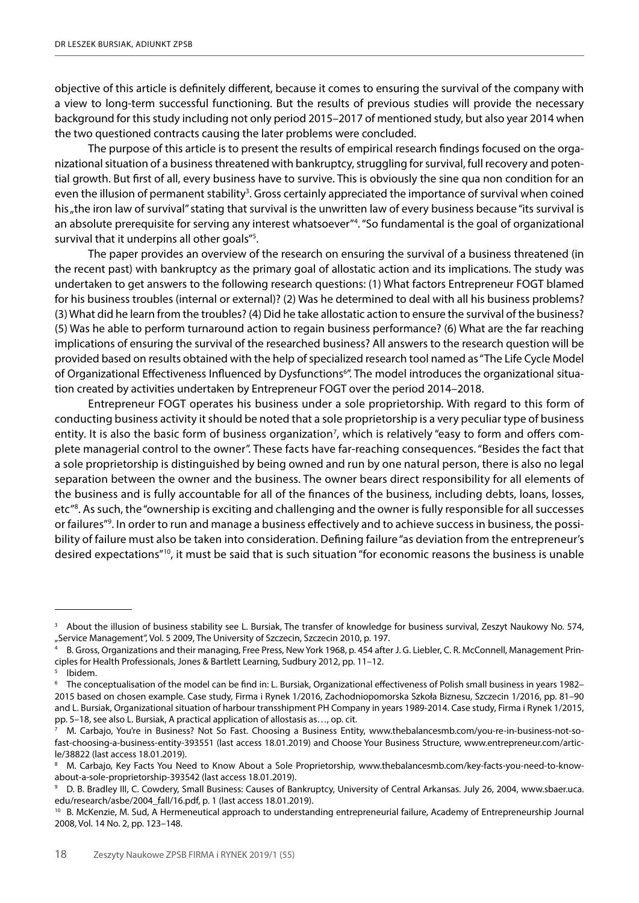objective of this article is definitely different, because it comes to ensuring the survival of the company with a view to long-term successful functioning. But the results of previous studies will provide the necessary background for this study including not only period 2015–2017 of mentioned study, but also year 2014 when the two questioned contracts causing the later problems were concluded.

The purpose of this article is to present the results of empirical research findings focused on the organizational situation of a business threatened with bankruptcy, struggling for survival, full recovery and potential growth. But first of all, every business have to survive. This is obviously the sine qua non condition for an even the illusion of permanent stability<sup>3</sup>. Gross certainly appreciated the importance of survival when coined his "the iron law of survival" stating that survival is the unwritten law of every business because "its survival is an absolute prerequisite for serving any interest whatsoever"<sup>4</sup>. "So fundamental is the goal of organizational survival that it underpins all other goals"<sup>5</sup>.

The paper provides an overview of the research on ensuring the survival of a business threatened (in the recent past) with bankruptcy as the primary goal of allostatic action and its implications. The study was undertaken to get answers to the following research questions: (1) What factors Entrepreneur FOGT blamed for his business troubles (internal or external)? (2) Was he determined to deal with all his business problems? (3) What did he learn from the troubles? (4) Did he take allostatic action to ensure the survival of the business? (5) Was he able to perform turnaround action to regain business performance? (6) What are the far reaching implications of ensuring the survival of the researched business? All answers to the research question will be provided based on results obtained with the help of specialized research tool named as "The Life Cycle Model of Organizational Effectiveness Influenced by Dysfunctions<sup>6</sup>". The model introduces the organizational situation created by activities undertaken by Entrepreneur FOGT over the period 2014–2018.

Entrepreneur FOGT operates his business under a sole proprietorship. With regard to this form of conducting business activity it should be noted that a sole proprietorship is a very peculiar type of business entity. It is also the basic form of business organization<sup>7</sup>, which is relatively "easy to form and offers complete managerial control to the owner". These facts have far-reaching consequences. "Besides the fact that a sole proprietorship is distinguished by being owned and run by one natural person, there is also no legal separation between the owner and the business. The owner bears direct responsibility for all elements of the business and is fully accountable for all of the finances of the business, including debts, loans, losses, etc"<sup>8</sup>. As such, the "ownership is exciting and challenging and the owner is fully responsible for all successes or failures"9 . In order to run and manage a business effectively and to achieve success in business, the possibility of failure must also be taken into consideration. Defining failure "as deviation from the entrepreneur's desired expectations"10, it must be said that is such situation "for economic reasons the business is unable

<sup>3</sup> About the illusion of business stability see L. Bursiak, The transfer of knowledge for business survival, Zeszyt Naukowy No. 574, "Service Management", Vol. 5 2009, The University of Szczecin, Szczecin 2010, p. 197.

<sup>4</sup> B. Gross, Organizations and their managing, Free Press, New York 1968, p. 454 after J. G. Liebler, C. R. McConnell, Management Principles for Health Professionals, Jones & Bartlett Learning, Sudbury 2012, pp. 11–12.

Ibidem.

<sup>6</sup> The conceptualisation of the model can be find in: L. Bursiak, Organizational effectiveness of Polish small business in years 1982– 2015 based on chosen example. Case study, Firma i Rynek 1/2016, Zachodniopomorska Szkoła Biznesu, Szczecin 1/2016, pp. 81–90 and L. Bursiak, Organizational situation of harbour transshipment PH Company in years 1989-2014. Case study, Firma i Rynek 1/2015, pp. 5–18, see also L. Bursiak, A practical application of allostasis as…, op. cit.

<sup>7</sup> M. Carbajo, You're in Business? Not So Fast. Choosing a Business Entity, www.thebalancesmb.com/you-re-in-business-not-sofast-choosing-a-business-entity-393551 (last access 18.01.2019) and Choose Your Business Structure, www.entrepreneur.com/article/38822 (last access 18.01.2019).

<sup>8</sup> M. Carbajo, Key Facts You Need to Know About a Sole Proprietorship, www.thebalancesmb.com/key-facts-you-need-to-knowabout-a-sole-proprietorship-393542 (last access 18.01.2019).

<sup>9</sup> D. B. Bradley III, C. Cowdery, Small Business: Causes of Bankruptcy, University of Central Arkansas. July 26, 2004, www.sbaer.uca. edu/research/asbe/2004\_fall/16.pdf, p. 1 (last access 18.01.2019).

<sup>&</sup>lt;sup>10</sup> B. McKenzie, M. Sud, A Hermeneutical approach to understanding entrepreneurial failure, Academy of Entrepreneurship Journal 2008, Vol. 14 No. 2, pp. 123–148.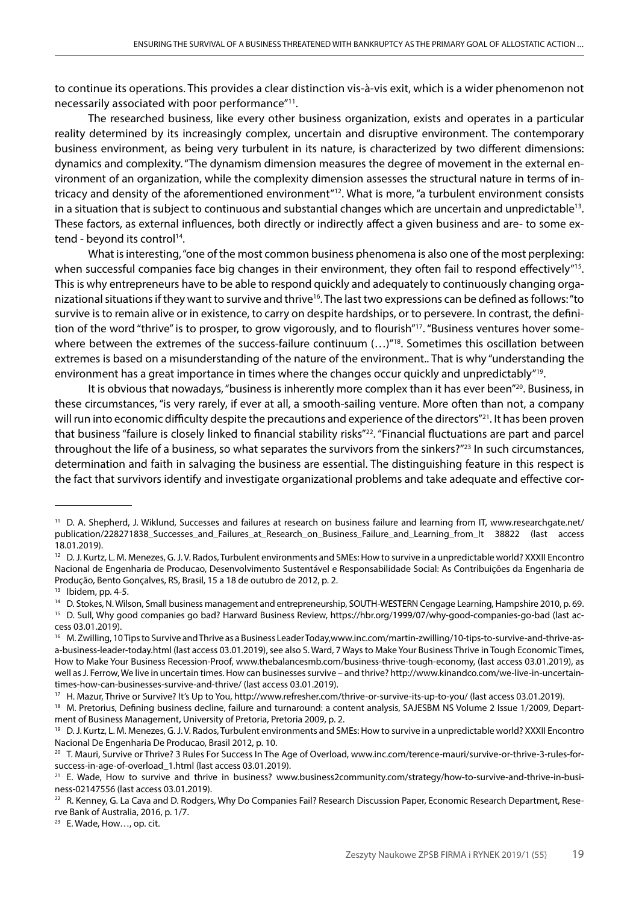to continue its operations. This provides a clear distinction vis-à-vis exit, which is a wider phenomenon not necessarily associated with poor performance"11.

The researched business, like every other business organization, exists and operates in a particular reality determined by its increasingly complex, uncertain and disruptive environment. The contemporary business environment, as being very turbulent in its nature, is characterized by two different dimensions: dynamics and complexity. "The dynamism dimension measures the degree of movement in the external environment of an organization, while the complexity dimension assesses the structural nature in terms of intricacy and density of the aforementioned environment"12. What is more, "a turbulent environment consists in a situation that is subject to continuous and substantial changes which are uncertain and unpredictable<sup>13</sup>. These factors, as external influences, both directly or indirectly affect a given business and are- to some extend - beyond its control<sup>14</sup>.

What is interesting, "one of the most common business phenomena is also one of the most perplexing: when successful companies face big changes in their environment, they often fail to respond effectively"<sup>15</sup>. This is why entrepreneurs have to be able to respond quickly and adequately to continuously changing organizational situations if they want to survive and thrive<sup>16</sup>. The last two expressions can be defined as follows: "to survive is to remain alive or in existence, to carry on despite hardships, or to persevere. In contrast, the definition of the word "thrive" is to prosper, to grow vigorously, and to flourish"<sup>17</sup>. "Business ventures hover somewhere between the extremes of the success-failure continuum (...)<sup>"18</sup>. Sometimes this oscillation between extremes is based on a misunderstanding of the nature of the environment.. That is why "understanding the environment has a great importance in times where the changes occur quickly and unpredictably"19.

It is obvious that nowadays, "business is inherently more complex than it has ever been"<sup>20</sup>. Business, in these circumstances, "is very rarely, if ever at all, a smooth-sailing venture. More often than not, a company will run into economic difficulty despite the precautions and experience of the directors"<sup>21</sup>. It has been proven that business "failure is closely linked to financial stability risks"22. "Financial fluctuations are part and parcel throughout the life of a business, so what separates the survivors from the sinkers?"<sup>23</sup> In such circumstances, determination and faith in salvaging the business are essential. The distinguishing feature in this respect is the fact that survivors identify and investigate organizational problems and take adequate and effective cor-

<sup>11</sup> D. A. Shepherd, J. Wiklund, Successes and failures at research on business failure and learning from IT, www.researchgate.net/ publication/228271838\_Successes\_and\_Failures\_at\_Research\_on\_Business\_Failure\_and\_Learning\_from\_It 38822 (last access 18.01.2019).

<sup>12</sup> D. J. Kurtz, L. M. Menezes, G. J. V. Rados, Turbulent environments and SMEs: How to survive in a unpredictable world? XXXII Encontro Nacional de Engenharia de Producao, Desenvolvimento Sustentável e Responsabilidade Social: As Contribuições da Engenharia de Produção, Bento Gonçalves, RS, Brasil, 15 a 18 de outubro de 2012, p. 2.

<sup>13</sup> Ibidem, pp. 4-5.

<sup>&</sup>lt;sup>14</sup> D. Stokes, N. Wilson, Small business management and entrepreneurship, SOUTH-WESTERN Cengage Learning, Hampshire 2010, p. 69.

<sup>&</sup>lt;sup>15</sup> D. Sull, Why good companies go bad? Harward Business Review, https://hbr.org/1999/07/why-good-companies-go-bad (last access 03.01.2019).

<sup>&</sup>lt;sup>16</sup> M. Zwilling, 10 Tips to Survive and Thrive as a Business Leader Today,www.inc.com/martin-zwilling/10-tips-to-survive-and-thrive-asa-business-leader-today.html (last access 03.01.2019), see also S. Ward, 7 Ways to Make Your Business Thrive in Tough Economic Times, How to Make Your Business Recession-Proof, www.thebalancesmb.com/business-thrive-tough-economy, (last access 03.01.2019), as well as J. Ferrow, We live in uncertain times. How can businesses survive – and thrive? http://www.kinandco.com/we-live-in-uncertaintimes-how-can-businesses-survive-and-thrive/ (last access 03.01.2019).

<sup>&</sup>lt;sup>17</sup> H. Mazur, Thrive or Survive? It's Up to You, http://www.refresher.com/thrive-or-survive-its-up-to-you/ (last access 03.01.2019).

<sup>&</sup>lt;sup>18</sup> M. Pretorius, Defining business decline, failure and turnaround: a content analysis, SAJESBM NS Volume 2 Issue 1/2009, Department of Business Management, University of Pretoria, Pretoria 2009, p. 2.

<sup>19</sup> D. J. Kurtz, L. M. Menezes, G. J. V. Rados, Turbulent environments and SMEs: How to survive in a unpredictable world? XXXII Encontro Nacional De Engenharia De Producao, Brasil 2012, p. 10.

<sup>&</sup>lt;sup>20</sup> T. Mauri, Survive or Thrive? 3 Rules For Success In The Age of Overload, www.inc.com/terence-mauri/survive-or-thrive-3-rules-forsuccess-in-age-of-overload\_1.html (last access 03.01.2019).

<sup>&</sup>lt;sup>21</sup> E. Wade, How to survive and thrive in business? www.business2community.com/strategy/how-to-survive-and-thrive-in-business-02147556 (last access 03.01.2019).

<sup>&</sup>lt;sup>22</sup> R. Kenney, G. La Cava and D. Rodgers, Why Do Companies Fail? Research Discussion Paper, Economic Research Department, Reserve Bank of Australia, 2016, p. 1/7.

<sup>23</sup> E. Wade, How…, op. cit.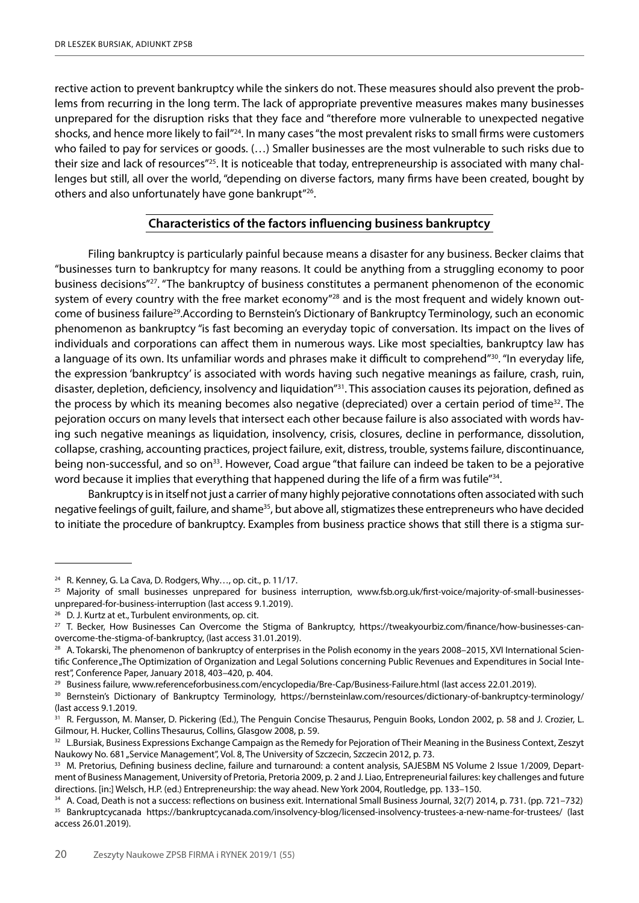rective action to prevent bankruptcy while the sinkers do not. These measures should also prevent the problems from recurring in the long term. The lack of appropriate preventive measures makes many businesses unprepared for the disruption risks that they face and "therefore more vulnerable to unexpected negative shocks, and hence more likely to fail"<sup>24</sup>. In many cases "the most prevalent risks to small firms were customers who failed to pay for services or goods. (…) Smaller businesses are the most vulnerable to such risks due to their size and lack of resources"25. It is noticeable that today, entrepreneurship is associated with many challenges but still, all over the world, "depending on diverse factors, many firms have been created, bought by others and also unfortunately have gone bankrupt"26.

## **Characteristics of the factors influencing business bankruptcy**

Filing bankruptcy is particularly painful because means a disaster for any business. Becker claims that "businesses turn to bankruptcy for many reasons. It could be anything from a struggling economy to poor business decisions"27. "The bankruptcy of business constitutes a permanent phenomenon of the economic system of every country with the free market economy"<sup>28</sup> and is the most frequent and widely known outcome of business failure29.According to Bernstein's Dictionary of Bankruptcy Terminology, such an economic phenomenon as bankruptcy "is fast becoming an everyday topic of conversation. Its impact on the lives of individuals and corporations can affect them in numerous ways. Like most specialties, bankruptcy law has a language of its own. Its unfamiliar words and phrases make it difficult to comprehend"30. "In everyday life, the expression 'bankruptcy' is associated with words having such negative meanings as failure, crash, ruin, disaster, depletion, deficiency, insolvency and liquidation"31. This association causes its pejoration, defined as the process by which its meaning becomes also negative (depreciated) over a certain period of time<sup>32</sup>. The pejoration occurs on many levels that intersect each other because failure is also associated with words having such negative meanings as liquidation, insolvency, crisis, closures, decline in performance, dissolution, collapse, crashing, accounting practices, project failure, exit, distress, trouble, systems failure, discontinuance, being non-successful, and so on<sup>33</sup>. However, Coad argue "that failure can indeed be taken to be a pejorative word because it implies that everything that happened during the life of a firm was futile"<sup>34</sup>.

Bankruptcy is in itself not just a carrier of many highly pejorative connotations often associated with such negative feelings of guilt, failure, and shame<sup>35</sup>, but above all, stigmatizes these entrepreneurs who have decided to initiate the procedure of bankruptcy. Examples from business practice shows that still there is a stigma sur-

<sup>&</sup>lt;sup>24</sup> R. Kenney, G. La Cava, D. Rodgers, Why..., op. cit., p. 11/17.

<sup>&</sup>lt;sup>25</sup> Majority of small businesses unprepared for business interruption, www.fsb.org.uk/first-voice/majority-of-small-businessesunprepared-for-business-interruption (last access 9.1.2019).

<sup>&</sup>lt;sup>26</sup> D. J. Kurtz at et., Turbulent environments, op. cit.<br><sup>27</sup> T. Becker, How Businesses Can Overcome the Stigma of Bankruptcy, https://tweakyourbiz.com/finance/how-businesses-canovercome-the-stigma-of-bankruptcy, (last access 31.01.2019).

 $28$  A. Tokarski, The phenomenon of bankruptcy of enterprises in the Polish economy in the years 2008–2015, XVI International Scientific Conference "The Optimization of Organization and Legal Solutions concerning Public Revenues and Expenditures in Social Interest", Conference Paper, January 2018, 403–420, p. 404.

<sup>&</sup>lt;sup>29</sup> Business failure, www.referenceforbusiness.com/encyclopedia/Bre-Cap/Business-Failure.html (last access 22.01.2019).

<sup>30</sup> Bernstein's Dictionary of Bankruptcy Terminology, https://bernsteinlaw.com/resources/dictionary-of-bankruptcy-terminology/ (last access 9.1.2019.

<sup>&</sup>lt;sup>31</sup> R. Ferqusson, M. Manser, D. Pickering (Ed.), The Penguin Concise Thesaurus, Penguin Books, London 2002, p. 58 and J. Crozier, L. Gilmour, H. Hucker, Collins Thesaurus, Collins, Glasgow 2008, p. 59.

<sup>32</sup> L.Bursiak, Business Expressions Exchange Campaign as the Remedy for Pejoration of Their Meaning in the Business Context, Zeszyt Naukowy No. 681 "Service Management", Vol. 8, The University of Szczecin, Szczecin 2012, p. 73.

<sup>33</sup> M. Pretorius, Defining business decline, failure and turnaround: a content analysis, SAJESBM NS Volume 2 Issue 1/2009, Department of Business Management, University of Pretoria, Pretoria 2009, p. 2 and J. Liao, Entrepreneurial failures: key challenges and future directions. [in:] Welsch, H.P. (ed.) Entrepreneurship: the way ahead. New York 2004, Routledge, pp. 133–150.

<sup>34</sup> A. Coad, Death is not a success: reflections on business exit. International Small Business Journal, 32(7) 2014, p. 731. (pp. 721–732) <sup>35</sup> Bankruptcycanada https://bankruptcycanada.com/insolvency-blog/licensed-insolvency-trustees-a-new-name-for-trustees/ (last access 26.01.2019).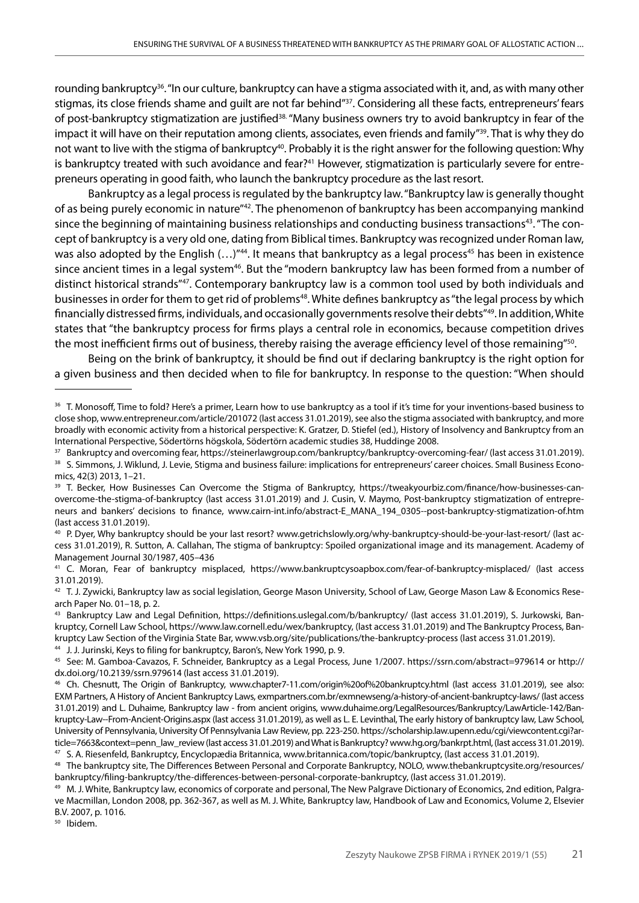rounding bankruptcy<sup>36</sup>. "In our culture, bankruptcy can have a stigma associated with it, and, as with many other stigmas, its close friends shame and quilt are not far behind"<sup>37</sup>. Considering all these facts, entrepreneurs' fears of post-bankruptcy stigmatization are justified<sup>38.</sup> "Many business owners try to avoid bankruptcy in fear of the impact it will have on their reputation among clients, associates, even friends and family"<sup>39</sup>. That is why they do not want to live with the stigma of bankruptcy<sup>40</sup>. Probably it is the right answer for the following question: Why is bankruptcy treated with such avoidance and fear?<sup>41</sup> However, stigmatization is particularly severe for entrepreneurs operating in good faith, who launch the bankruptcy procedure as the last resort.

Bankruptcy as a legal process is regulated by the bankruptcy law. "Bankruptcy law is generally thought of as being purely economic in nature"42. The phenomenon of bankruptcy has been accompanying mankind since the beginning of maintaining business relationships and conducting business transactions<sup>43</sup>. "The concept of bankruptcy is a very old one, dating from Biblical times. Bankruptcy was recognized under Roman law, was also adopted by the English  $(...)$ <sup> $n44$ </sup>. It means that bankruptcy as a legal process<sup>45</sup> has been in existence since ancient times in a legal system<sup>46</sup>. But the "modern bankruptcy law has been formed from a number of distinct historical strands"47. Contemporary bankruptcy law is a common tool used by both individuals and businesses in order for them to get rid of problems<sup>48</sup>. White defines bankruptcy as "the legal process by which financially distressed firms, individuals, and occasionally governments resolve their debts"49. In addition, White states that "the bankruptcy process for firms plays a central role in economics, because competition drives the most inefficient firms out of business, thereby raising the average efficiency level of those remaining"<sup>50</sup>.

Being on the brink of bankruptcy, it should be find out if declaring bankruptcy is the right option for a given business and then decided when to file for bankruptcy. In response to the question: "When should

<sup>50</sup> Ibidem.

<sup>36</sup> T. Monosoff, Time to fold? Here's a primer, Learn how to use bankruptcy as a tool if it's time for your inventions-based business to close shop, www.entrepreneur.com/article/201072 (last access 31.01.2019), see also the stigma associated with bankruptcy, and more broadly with economic activity from a historical perspective: K. Gratzer, D. Stiefel (ed.), History of Insolvency and Bankruptcy from an International Perspective, Södertörns högskola, Södertörn academic studies 38, Huddinge 2008.

<sup>37</sup> Bankruptcy and overcoming fear, https://steinerlawgroup.com/bankruptcy/bankruptcy-overcoming-fear/ (last access 31.01.2019).

<sup>&</sup>lt;sup>38</sup> S. Simmons, J. Wiklund, J. Levie, Stigma and business failure: implications for entrepreneurs' career choices. Small Business Economics, 42(3) 2013, 1–21.

<sup>&</sup>lt;sup>39</sup> T. Becker, How Businesses Can Overcome the Stigma of Bankruptcy, https://tweakyourbiz.com/finance/how-businesses-canovercome-the-stigma-of-bankruptcy (last access 31.01.2019) and J. Cusin, V. Maymo, Post-bankruptcy stigmatization of entrepreneurs and bankers' decisions to finance, www.cairn-int.info/abstract-E\_MANA\_194\_0305--post-bankruptcy-stigmatization-of.htm (last access 31.01.2019).

<sup>40</sup> P. Dyer, Why bankruptcy should be your last resort? www.getrichslowly.org/why-bankruptcy-should-be-your-last-resort/ (last access 31.01.2019), R. Sutton, A. Callahan, The stigma of bankruptcy: Spoiled organizational image and its management. Academy of Management Journal 30/1987, 405–436

<sup>41</sup> C. Moran, Fear of bankruptcy misplaced, https://www.bankruptcysoapbox.com/fear-of-bankruptcy-misplaced/ (last access 31.01.2019).

<sup>42</sup> T. J. Zywicki, Bankruptcy law as social legislation, George Mason University, School of Law, George Mason Law & Economics Research Paper No. 01–18, p. 2.

<sup>43</sup> Bankruptcy Law and Legal Definition, https://definitions.uslegal.com/b/bankruptcy/ (last access 31.01.2019), S. Jurkowski, Bankruptcy, Cornell Law School, https://www.law.cornell.edu/wex/bankruptcy, (last access 31.01.2019) and The Bankruptcy Process, Bankruptcy Law Section of the Virginia State Bar, www.vsb.org/site/publications/the-bankruptcy-process (last access 31.01.2019). <sup>44</sup> J. J. Jurinski, Keys to filing for bankruptcy, Baron's, New York 1990, p. 9.

<sup>45</sup> See: M. Gamboa-Cavazos, F. Schneider, Bankruptcy as a Legal Process, June 1/2007. https://ssrn.com/abstract=979614 or http:// dx.doi.org/10.2139/ssrn.979614 (last access 31.01.2019).

<sup>46</sup> Ch. Chesnutt, The Origin of Bankruptcy, www.chapter7-11.com/origin%20of%20bankruptcy.html (last access 31.01.2019), see also: EXM Partners, A History of Ancient Bankruptcy Laws, exmpartners.com.br/exmnewseng/a-history-of-ancient-bankruptcy-laws/ (last access 31.01.2019) and L. Duhaime, Bankruptcy law - from ancient origins, www.duhaime.org/LegalResources/Bankruptcy/LawArticle-142/Bankruptcy-Law--From-Ancient-Origins.aspx (last access 31.01.2019), as well as L. E. Levinthal, The early history of bankruptcy law, Law School, University of Pennsylvania, University Of Pennsylvania Law Review, pp. 223-250. https://scholarship.law.upenn.edu/cgi/viewcontent.cgi?article=7663&context=penn\_law\_review (last access 31.01.2019) and What is Bankruptcy? www.hg.org/bankrpt.html, (last access 31.01.2019). <sup>47</sup> S. A. Riesenfeld, Bankruptcy, Encyclopædia Britannica, www.britannica.com/topic/bankruptcy, (last access 31.01.2019).

<sup>48</sup> The bankruptcy site, The Differences Between Personal and Corporate Bankruptcy, NOLO, www.thebankruptcysite.org/resources/ bankruptcy/filing-bankruptcy/the-differences-between-personal-corporate-bankruptcy, (last access 31.01.2019).

<sup>&</sup>lt;sup>49</sup> M. J. White, Bankruptcy law, economics of corporate and personal, The New Palgrave Dictionary of Economics, 2nd edition, Palgrave Macmillan, London 2008, pp. 362-367, as well as M. J. White, Bankruptcy law, Handbook of Law and Economics, Volume 2, Elsevier B.V. 2007, p. 1016.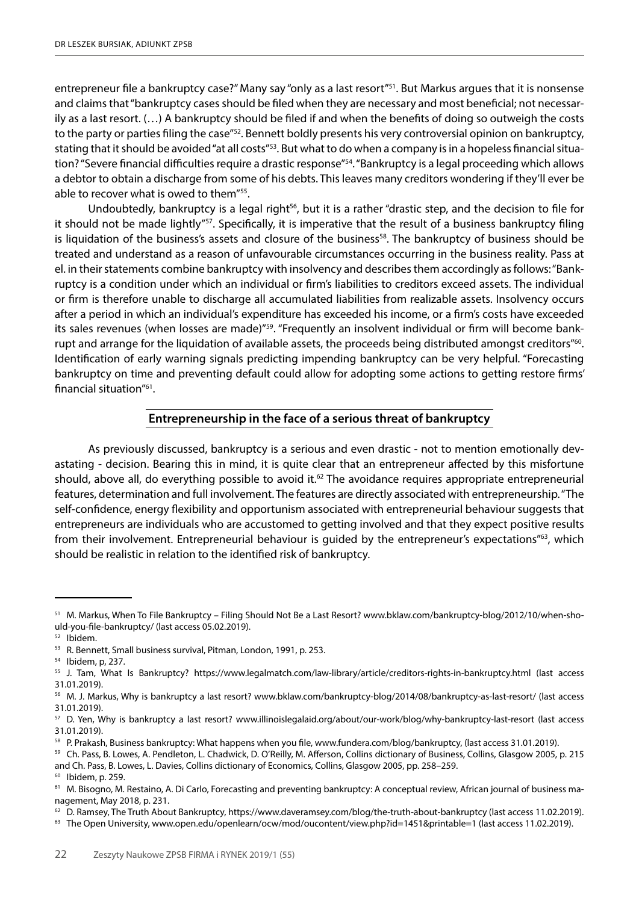entrepreneur file a bankruptcy case?" Many say "only as a last resort"51. But Markus argues that it is nonsense and claims that "bankruptcy cases should be filed when they are necessary and most beneficial; not necessarily as a last resort. (…) A bankruptcy should be filed if and when the benefits of doing so outweigh the costs to the party or parties filing the case"<sup>52</sup>. Bennett boldly presents his very controversial opinion on bankruptcy, stating that it should be avoided "at all costs"<sup>53</sup>. But what to do when a company is in a hopeless financial situation? "Severe financial difficulties require a drastic response"<sup>54</sup>. "Bankruptcy is a legal proceeding which allows a debtor to obtain a discharge from some of his debts. This leaves many creditors wondering if they'll ever be able to recover what is owed to them"55.

Undoubtedly, bankruptcy is a legal right<sup>56</sup>, but it is a rather "drastic step, and the decision to file for it should not be made lightly"<sup>57</sup>. Specifically, it is imperative that the result of a business bankruptcy filing is liquidation of the business's assets and closure of the business<sup>58</sup>. The bankruptcy of business should be treated and understand as a reason of unfavourable circumstances occurring in the business reality. Pass at el. in their statements combine bankruptcy with insolvency and describes them accordingly as follows: "Bankruptcy is a condition under which an individual or firm's liabilities to creditors exceed assets. The individual or firm is therefore unable to discharge all accumulated liabilities from realizable assets. Insolvency occurs after a period in which an individual's expenditure has exceeded his income, or a firm's costs have exceeded its sales revenues (when losses are made)"<sup>59</sup>. "Frequently an insolvent individual or firm will become bankrupt and arrange for the liquidation of available assets, the proceeds being distributed amongst creditors"<sup>60</sup>. Identification of early warning signals predicting impending bankruptcy can be very helpful. "Forecasting bankruptcy on time and preventing default could allow for adopting some actions to getting restore firms' financial situation"61.

### **Entrepreneurship in the face of a serious threat of bankruptcy**

As previously discussed, bankruptcy is a serious and even drastic - not to mention emotionally devastating - decision. Bearing this in mind, it is quite clear that an entrepreneur affected by this misfortune should, above all, do everything possible to avoid it.<sup>62</sup> The avoidance requires appropriate entrepreneurial features, determination and full involvement. The features are directly associated with entrepreneurship. "The self-confidence, energy flexibility and opportunism associated with entrepreneurial behaviour suggests that entrepreneurs are individuals who are accustomed to getting involved and that they expect positive results from their involvement. Entrepreneurial behaviour is guided by the entrepreneur's expectations"63, which should be realistic in relation to the identified risk of bankruptcy.

<sup>&</sup>lt;sup>51</sup> M. Markus, When To File Bankruptcy – Filing Should Not Be a Last Resort? www.bklaw.com/bankruptcy-blog/2012/10/when-should-you-file-bankruptcy/ (last access 05.02.2019).

<sup>52</sup> Ibidem.

<sup>53</sup> R. Bennett, Small business survival, Pitman, London, 1991, p. 253.

<sup>54</sup> Ibidem, p, 237.

<sup>55</sup> J. Tam, What Is Bankruptcy? https://www.legalmatch.com/law-library/article/creditors-rights-in-bankruptcy.html (last access 31.01.2019).

<sup>56</sup> M. J. Markus, Why is bankruptcy a last resort? www.bklaw.com/bankruptcy-blog/2014/08/bankruptcy-as-last-resort/ (last access 31.01.2019).

<sup>57</sup> D. Yen, Why is bankruptcy a last resort? www.illinoislegalaid.org/about/our-work/blog/why-bankruptcy-last-resort (last access 31.01.2019).

<sup>&</sup>lt;sup>58</sup> P. Prakash, Business bankruptcy: What happens when you file, www.fundera.com/blog/bankruptcy, (last access 31.01.2019).

<sup>59</sup> Ch. Pass, B. Lowes, A. Pendleton, L. Chadwick, D. O'Reilly, M. Afferson, Collins dictionary of Business, Collins, Glasgow 2005, p. 215 and Ch. Pass, B. Lowes, L. Davies, Collins dictionary of Economics, Collins, Glasgow 2005, pp. 258–259.

<sup>60</sup> Ibidem, p. 259.

<sup>&</sup>lt;sup>61</sup> M. Bisogno, M. Restaino, A. Di Carlo, Forecasting and preventing bankruptcy: A conceptual review, African journal of business management, May 2018, p. 231.

 $62$  D. Ramsey, The Truth About Bankruptcy, https://www.daveramsey.com/blog/the-truth-about-bankruptcy (last access 11.02.2019).

 $63$  The Open University, www.open.edu/openlearn/ocw/mod/oucontent/view.php?id=1451&printable=1 (last access 11.02.2019).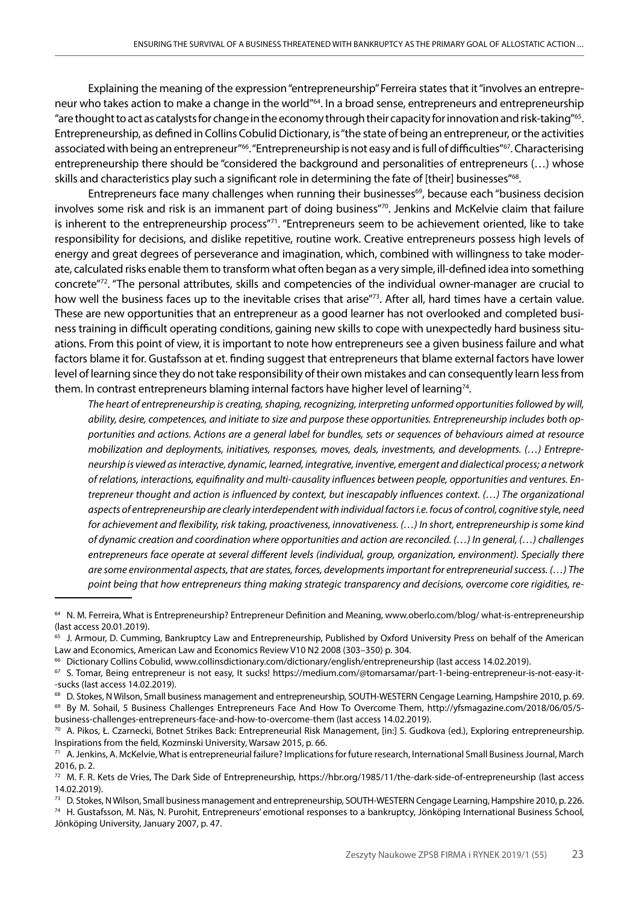Explaining the meaning of the expression "entrepreneurship" Ferreira states that it "involves an entrepreneur who takes action to make a change in the world"64. In a broad sense, entrepreneurs and entrepreneurship "are thought to act as catalysts for change in the economy through their capacity for innovation and risk-taking"65. Entrepreneurship, as defined in Collins Cobulid Dictionary, is "the state of being an entrepreneur, or the activities associated with being an entrepreneur<sup>"66</sup>. "Entrepreneurship is not easy and is full of difficulties"<sup>67</sup>. Characterising entrepreneurship there should be "considered the background and personalities of entrepreneurs (…) whose skills and characteristics play such a significant role in determining the fate of [their] businesses"<sup>68</sup>.

Entrepreneurs face many challenges when running their businesses<sup>69</sup>, because each "business decision involves some risk and risk is an immanent part of doing business"70. Jenkins and McKelvie claim that failure is inherent to the entrepreneurship process"<sup>71</sup>. "Entrepreneurs seem to be achievement oriented, like to take responsibility for decisions, and dislike repetitive, routine work. Creative entrepreneurs possess high levels of energy and great degrees of perseverance and imagination, which, combined with willingness to take moderate, calculated risks enable them to transform what often began as a very simple, ill-defined idea into something concrete"72. "The personal attributes, skills and competencies of the individual owner-manager are crucial to how well the business faces up to the inevitable crises that arise"73. After all, hard times have a certain value. These are new opportunities that an entrepreneur as a good learner has not overlooked and completed business training in difficult operating conditions, gaining new skills to cope with unexpectedly hard business situations. From this point of view, it is important to note how entrepreneurs see a given business failure and what factors blame it for. Gustafsson at et. finding suggest that entrepreneurs that blame external factors have lower level of learning since they do not take responsibility of their own mistakes and can consequently learn less from them. In contrast entrepreneurs blaming internal factors have higher level of learning<sup>74</sup>.

*The heart of entrepreneurship is creating, shaping, recognizing, interpreting unformed opportunities followed by will, ability, desire, competences, and initiate to size and purpose these opportunities. Entrepreneurship includes both opportunities and actions. Actions are a general label for bundles, sets or sequences of behaviours aimed at resource mobilization and deployments, initiatives, responses, moves, deals, investments, and developments. (…) Entrepreneurship is viewed as interactive, dynamic, learned, integrative, inventive, emergent and dialectical process; a network of relations, interactions, equifinality and multi-causality influences between people, opportunities and ventures. Entrepreneur thought and action is influenced by context, but inescapably influences context. (…) The organizational aspects of entrepreneurship are clearly interdependent with individual factors i.e. focus of control, cognitive style, need for achievement and flexibility, risk taking, proactiveness, innovativeness. (…) In short, entrepreneurship is some kind of dynamic creation and coordination where opportunities and action are reconciled. (…) In general, (…) challenges entrepreneurs face operate at several different levels (individual, group, organization, environment). Specially there are some environmental aspects, that are states, forces, developments important for entrepreneurial success. (…) The point being that how entrepreneurs thing making strategic transparency and decisions, overcome core rigidities, re-*

<sup>64</sup> N. M. Ferreira, What is Entrepreneurship? Entrepreneur Definition and Meaning, www.oberlo.com/blog/ what-is-entrepreneurship (last access 20.01.2019).

<sup>&</sup>lt;sup>65</sup> J. Armour, D. Cumming, Bankruptcy Law and Entrepreneurship, Published by Oxford University Press on behalf of the American Law and Economics, American Law and Economics Review V10 N2 2008 (303–350) p. 304.

<sup>66</sup> Dictionary Collins Cobulid, www.collinsdictionary.com/dictionary/english/entrepreneurship (last access 14.02.2019).

<sup>67</sup> S. Tomar, Being entrepreneur is not easy, It sucks! https://medium.com/@tomarsamar/part-1-being-entrepreneur-is-not-easy-it- -sucks (last access 14.02.2019).

<sup>68</sup> D. Stokes, N Wilson, Small business management and entrepreneurship, SOUTH-WESTERN Cengage Learning, Hampshire 2010, p. 69.

<sup>69</sup> By M. Sohail, 5 Business Challenges Entrepreneurs Face And How To Overcome Them, http://yfsmagazine.com/2018/06/05/5 business-challenges-entrepreneurs-face-and-how-to-overcome-them (last access 14.02.2019).

<sup>70</sup> A. Pikos, Ł. Czarnecki, Botnet Strikes Back: Entrepreneurial Risk Management, [in:] S. Gudkova (ed.), Exploring entrepreneurship. Inspirations from the field, Kozminski University, Warsaw 2015, p. 66.

<sup>71</sup> A. Jenkins, A. McKelvie, What is entrepreneurial failure? Implications for future research, International Small Business Journal, March 2016, p. 2.

 $72$  M. F. R. Kets de Vries, The Dark Side of Entrepreneurship, https://hbr.org/1985/11/the-dark-side-of-entrepreneurship (last access 14.02.2019).

<sup>&</sup>lt;sup>73</sup> D. Stokes, N Wilson, Small business management and entrepreneurship, SOUTH-WESTERN Cengage Learning, Hampshire 2010, p. 226.

<sup>74</sup> H. Gustafsson, M. Näs, N. Purohit, Entrepreneurs' emotional responses to a bankruptcy, Jönköping International Business School, Jönköping University, January 2007, p. 47.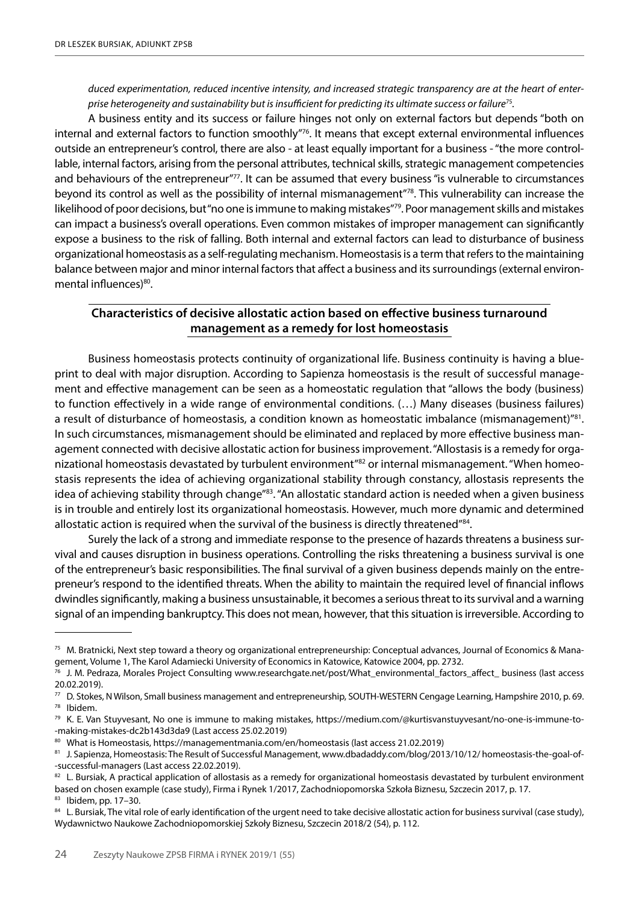*duced experimentation, reduced incentive intensity, and increased strategic transparency are at the heart of enterprise heterogeneity and sustainability but is insufficient for predicting its ultimate success or failure*75*.*

A business entity and its success or failure hinges not only on external factors but depends "both on internal and external factors to function smoothly"76. It means that except external environmental influences outside an entrepreneur's control, there are also - at least equally important for a business - "the more controllable, internal factors, arising from the personal attributes, technical skills, strategic management competencies and behaviours of the entrepreneur"77. It can be assumed that every business "is vulnerable to circumstances beyond its control as well as the possibility of internal mismanagement"78. This vulnerability can increase the likelihood of poor decisions, but "no one is immune to making mistakes"79. Poor management skills and mistakes can impact a business's overall operations. Even common mistakes of improper management can significantly expose a business to the risk of falling. Both internal and external factors can lead to disturbance of business organizational homeostasis as a self-regulating mechanism. Homeostasis is a term that refers to the maintaining balance between major and minor internal factors that affect a business and its surroundings (external environmental influences)<sup>80</sup>.

## **Characteristics of decisive allostatic action based on effective business turnaround management as a remedy for lost homeostasis**

Business homeostasis protects continuity of organizational life. Business continuity is having a blueprint to deal with major disruption. According to Sapienza homeostasis is the result of successful management and effective management can be seen as a homeostatic regulation that "allows the body (business) to function effectively in a wide range of environmental conditions. (…) Many diseases (business failures) a result of disturbance of homeostasis, a condition known as homeostatic imbalance (mismanagement)"81. In such circumstances, mismanagement should be eliminated and replaced by more effective business management connected with decisive allostatic action for business improvement. "Allostasis is a remedy for organizational homeostasis devastated by turbulent environment<sup>"82</sup> or internal mismanagement. "When homeostasis represents the idea of achieving organizational stability through constancy, allostasis represents the idea of achieving stability through change"83. "An allostatic standard action is needed when a given business is in trouble and entirely lost its organizational homeostasis. However, much more dynamic and determined allostatic action is required when the survival of the business is directly threatened"<sup>84</sup>.

Surely the lack of a strong and immediate response to the presence of hazards threatens a business survival and causes disruption in business operations. Controlling the risks threatening a business survival is one of the entrepreneur's basic responsibilities. The final survival of a given business depends mainly on the entrepreneur's respond to the identified threats. When the ability to maintain the required level of financial inflows dwindles significantly, making a business unsustainable, it becomes a serious threat to its survival and a warning signal of an impending bankruptcy. This does not mean, however, that this situation is irreversible. According to

<sup>75</sup> M. Bratnicki, Next step toward a theory og organizational entrepreneurship: Conceptual advances, Journal of Economics & Management, Volume 1, The Karol Adamiecki University of Economics in Katowice, Katowice 2004, pp. 2732.

<sup>76</sup> J. M. Pedraza, Morales Project Consulting www.researchgate.net/post/What\_environmental\_factors\_affect\_ business (last access 20.02.2019).

<sup>77</sup> D. Stokes, N Wilson, Small business management and entrepreneurship, SOUTH-WESTERN Cengage Learning, Hampshire 2010, p. 69. <sup>78</sup> Ibidem.

<sup>79</sup> K. E. Van Stuyvesant, No one is immune to making mistakes, https://medium.com/@kurtisvanstuyvesant/no-one-is-immune-to- -making-mistakes-dc2b143d3da9 (Last access 25.02.2019)

<sup>80</sup> What is Homeostasis, https://managementmania.com/en/homeostasis (last access 21.02.2019)

<sup>81</sup> J. Sapienza, Homeostasis: The Result of Successful Management, www.dbadaddy.com/blog/2013/10/12/ homeostasis-the-goal-of--successful-managers (Last access 22.02.2019).

<sup>82</sup> L. Bursiak, A practical application of allostasis as a remedy for organizational homeostasis devastated by turbulent environment based on chosen example (case study), Firma i Rynek 1/2017, Zachodniopomorska Szkoła Biznesu, Szczecin 2017, p. 17.

<sup>83</sup> Ibidem, pp. 17–30.

<sup>84</sup> L. Bursiak, The vital role of early identification of the urgent need to take decisive allostatic action for business survival (case study), Wydawnictwo Naukowe Zachodniopomorskiej Szkoły Biznesu, Szczecin 2018/2 (54), p. 112.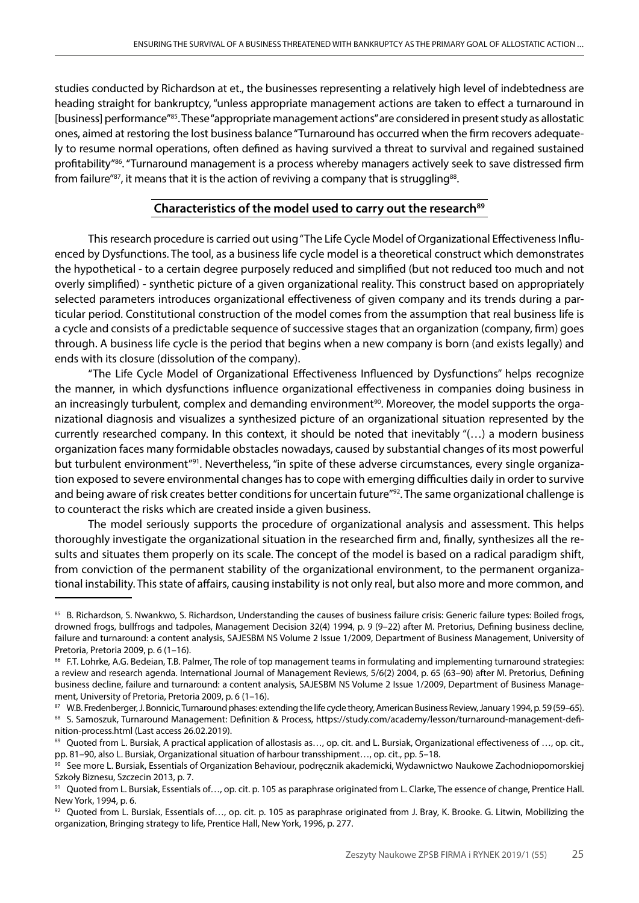studies conducted by Richardson at et., the businesses representing a relatively high level of indebtedness are heading straight for bankruptcy, "unless appropriate management actions are taken to effect a turnaround in [business] performance"85. These "appropriate management actions" are considered in present study as allostatic ones, aimed at restoring the lost business balance "Turnaround has occurred when the firm recovers adequately to resume normal operations, often defined as having survived a threat to survival and regained sustained profitability"<sup>86</sup>. "Turnaround management is a process whereby managers actively seek to save distressed firm from failure"<sup>87</sup>, it means that it is the action of reviving a company that is struggling<sup>88</sup>.

# Characteristics of the model used to carry out the research<sup>89</sup>

This research procedure is carried out using "The Life Cycle Model of Organizational Effectiveness Influenced by Dysfunctions. The tool, as a business life cycle model is a theoretical construct which demonstrates the hypothetical - to a certain degree purposely reduced and simplified (but not reduced too much and not overly simplified) - synthetic picture of a given organizational reality. This construct based on appropriately selected parameters introduces organizational effectiveness of given company and its trends during a particular period. Constitutional construction of the model comes from the assumption that real business life is a cycle and consists of a predictable sequence of successive stages that an organization (company, firm) goes through. A business life cycle is the period that begins when a new company is born (and exists legally) and ends with its closure (dissolution of the company).

"The Life Cycle Model of Organizational Effectiveness Influenced by Dysfunctions" helps recognize the manner, in which dysfunctions influence organizational effectiveness in companies doing business in an increasingly turbulent, complex and demanding environment<sup>90</sup>. Moreover, the model supports the organizational diagnosis and visualizes a synthesized picture of an organizational situation represented by the currently researched company. In this context, it should be noted that inevitably "(…) a modern business organization faces many formidable obstacles nowadays, caused by substantial changes of its most powerful but turbulent environment"91. Nevertheless, "in spite of these adverse circumstances, every single organization exposed to severe environmental changes has to cope with emerging difficulties daily in order to survive and being aware of risk creates better conditions for uncertain future"<sup>92</sup>. The same organizational challenge is to counteract the risks which are created inside a given business.

The model seriously supports the procedure of organizational analysis and assessment. This helps thoroughly investigate the organizational situation in the researched firm and, finally, synthesizes all the results and situates them properly on its scale. The concept of the model is based on a radical paradigm shift, from conviction of the permanent stability of the organizational environment, to the permanent organizational instability. This state of affairs, causing instability is not only real, but also more and more common, and

<sup>85</sup> B. Richardson, S. Nwankwo, S. Richardson, Understanding the causes of business failure crisis: Generic failure types: Boiled frogs, drowned frogs, bullfrogs and tadpoles, Management Decision 32(4) 1994, p. 9 (9–22) after M. Pretorius, Defining business decline, failure and turnaround: a content analysis, SAJESBM NS Volume 2 Issue 1/2009, Department of Business Management, University of Pretoria, Pretoria 2009, p. 6 (1–16).

<sup>86</sup> F.T. Lohrke, A.G. Bedeian, T.B. Palmer, The role of top management teams in formulating and implementing turnaround strategies: a review and research agenda. International Journal of Management Reviews, 5/6(2) 2004, p. 65 (63–90) after M. Pretorius, Defining business decline, failure and turnaround: a content analysis, SAJESBM NS Volume 2 Issue 1/2009, Department of Business Management, University of Pretoria, Pretoria 2009, p. 6 (1–16).

<sup>87</sup> W.B. Fredenberger, J. Bonnicic, Turnaround phases: extending the life cycle theory, American Business Review, January 1994, p. 59 (59–65). 88 S. Samoszuk, Turnaround Management: Definition & Process, https://study.com/academy/lesson/turnaround-management-definition-process.html (Last access 26.02.2019).

<sup>89</sup> Quoted from L. Bursiak, A practical application of allostasis as..., op. cit. and L. Bursiak, Organizational effectiveness of ..., op. cit., pp. 81–90, also L. Bursiak, Organizational situation of harbour transshipment…, op. cit., pp. 5–18.

<sup>&</sup>lt;sup>90</sup> See more L. Bursiak, Essentials of Organization Behaviour, podręcznik akademicki, Wydawnictwo Naukowe Zachodniopomorskiej Szkoły Biznesu, Szczecin 2013, p. 7.

<sup>91</sup> Quoted from L. Bursiak, Essentials of..., op. cit. p. 105 as paraphrase originated from L. Clarke, The essence of change, Prentice Hall. New York, 1994, p. 6.

 $92$  Quoted from L. Bursiak, Essentials of..., op. cit. p. 105 as paraphrase originated from J. Bray, K. Brooke. G. Litwin, Mobilizing the organization, Bringing strategy to life, Prentice Hall, New York, 1996, p. 277.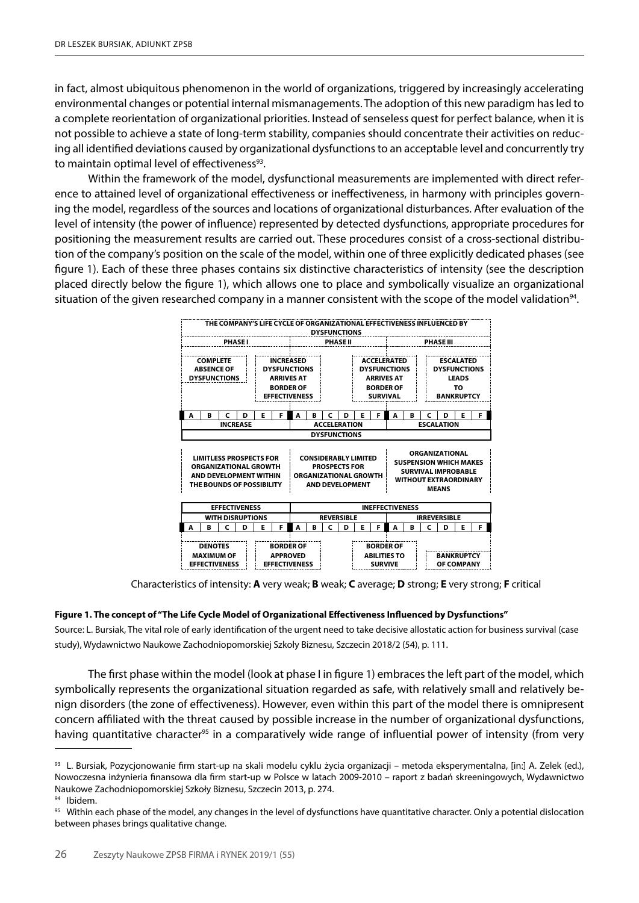in fact, almost ubiquitous phenomenon in the world of organizations, triggered by increasingly accelerating environmental changes or potential internal mismanagements. The adoption of this new paradigm has led to a complete reorientation of organizational priorities. Instead of senseless quest for perfect balance, when it is not possible to achieve a state of long-term stability, companies should concentrate their activities on reducing all identified deviations caused by organizational dysfunctions to an acceptable level and concurrently try to maintain optimal level of effectiveness<sup>93</sup>.

Within the framework of the model, dysfunctional measurements are implemented with direct reference to attained level of organizational effectiveness or ineffectiveness, in harmony with principles governing the model, regardless of the sources and locations of organizational disturbances. After evaluation of the level of intensity (the power of influence) represented by detected dysfunctions, appropriate procedures for positioning the measurement results are carried out. These procedures consist of a cross-sectional distribution of the company's position on the scale of the model, within one of three explicitly dedicated phases (see figure 1). Each of these three phases contains six distinctive characteristics of intensity (see the description placed directly below the figure 1), which allows one to place and symbolically visualize an organizational situation of the given researched company in a manner consistent with the scope of the model validation<sup>94</sup>.



Characteristics of intensity: **A** very weak; **B** weak; **C** average; **D** strong; **E** very strong; **F** critical

#### **Figure 1. The concept of "The Life Cycle Model of Organizational Effectiveness Influenced by Dysfunctions"**

Source: L. Bursiak, The vital role of early identification of the urgent need to take decisive allostatic action for business survival (case study), Wydawnictwo Naukowe Zachodniopomorskiej Szkoły Biznesu, Szczecin 2018/2 (54), p. 111.

The first phase within the model (look at phase I in figure 1) embraces the left part of the model, which symbolically represents the organizational situation regarded as safe, with relatively small and relatively benign disorders (the zone of effectiveness). However, even within this part of the model there is omnipresent concern affiliated with the threat caused by possible increase in the number of organizational dysfunctions, having quantitative character<sup>95</sup> in a comparatively wide range of influential power of intensity (from very

<sup>93</sup> L. Bursiak, Pozycjonowanie firm start-up na skali modelu cyklu życia organizacji – metoda eksperymentalna, [in:] A. Zelek (ed.), Nowoczesna inżynieria finansowa dla firm start-up w Polsce w latach 2009-2010 – raport z badań skreeningowych, Wydawnictwo Naukowe Zachodniopomorskiej Szkoły Biznesu, Szczecin 2013, p. 274.

<sup>94</sup> Ibidem.

<sup>&</sup>lt;sup>95</sup> Within each phase of the model, any changes in the level of dysfunctions have quantitative character. Only a potential dislocation between phases brings qualitative change.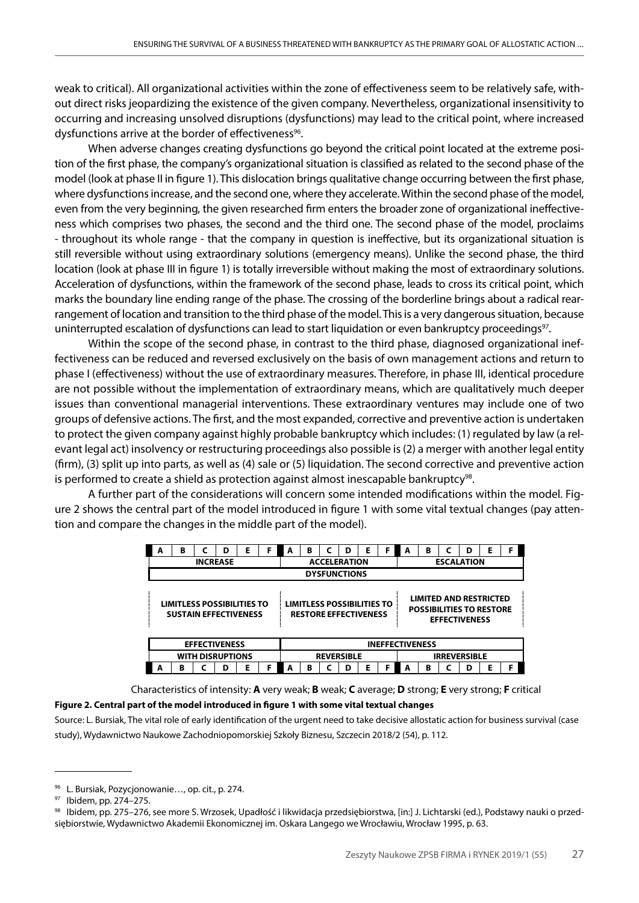weak to critical). All organizational activities within the zone of effectiveness seem to be relatively safe, without direct risks jeopardizing the existence of the given company. Nevertheless, organizational insensitivity to occurring and increasing unsolved disruptions (dysfunctions) may lead to the critical point, where increased dysfunctions arrive at the border of effectiveness<sup>96</sup>.

When adverse changes creating dysfunctions go beyond the critical point located at the extreme position of the first phase, the company's organizational situation is classified as related to the second phase of the model (look at phase II in figure 1). This dislocation brings qualitative change occurring between the first phase, where dysfunctions increase, and the second one, where they accelerate. Within the second phase of the model, even from the very beginning, the given researched firm enters the broader zone of organizational ineffectiveness which comprises two phases, the second and the third one. The second phase of the model, proclaims - throughout its whole range - that the company in question is ineffective, but its organizational situation is still reversible without using extraordinary solutions (emergency means). Unlike the second phase, the third location (look at phase III in figure 1) is totally irreversible without making the most of extraordinary solutions. Acceleration of dysfunctions, within the framework of the second phase, leads to cross its critical point, which marks the boundary line ending range of the phase. The crossing of the borderline brings about a radical rearrangement of location and transition to the third phase of the model. This is a very dangerous situation, because uninterrupted escalation of dysfunctions can lead to start liquidation or even bankruptcy proceedings<sup>97</sup>.

Within the scope of the second phase, in contrast to the third phase, diagnosed organizational ineffectiveness can be reduced and reversed exclusively on the basis of own management actions and return to phase I (effectiveness) without the use of extraordinary measures. Therefore, in phase III, identical procedure are not possible without the implementation of extraordinary means, which are qualitatively much deeper issues than conventional managerial interventions. These extraordinary ventures may include one of two groups of defensive actions. The first, and the most expanded, corrective and preventive action is undertaken to protect the given company against highly probable bankruptcy which includes: (1) regulated by law (a relevant legal act) insolvency or restructuring proceedings also possible is (2) a merger with another legal entity (firm), (3) split up into parts, as well as (4) sale or (5) liquidation. The second corrective and preventive action is performed to create a shield as protection against almost inescapable bankruptcy<sup>98</sup>.

A further part of the considerations will concern some intended modifications within the model. Figure 2 shows the central part of the model introduced in figure 1 with some vital textual changes (pay attention and compare the changes in the middle part of the model).

| A                       | в                                                                 |  | D | E | F | A | в                   |                                                                   | D | Е | F | A                      | в                                                                |  | D                    | Ε | F |  |
|-------------------------|-------------------------------------------------------------------|--|---|---|---|---|---------------------|-------------------------------------------------------------------|---|---|---|------------------------|------------------------------------------------------------------|--|----------------------|---|---|--|
| <b>INCREASE</b>         |                                                                   |  |   |   |   |   | <b>ACCELERATION</b> |                                                                   |   |   |   |                        | <b>ESCALATION</b>                                                |  |                      |   |   |  |
|                         |                                                                   |  |   |   |   |   |                     | <b>DYSFUNCTIONS</b>                                               |   |   |   |                        |                                                                  |  |                      |   |   |  |
|                         | <b>LIMITLESS POSSIBILITIES TO</b><br><b>SUSTAIN EFFECTIVENESS</b> |  |   |   |   |   |                     | <b>LIMITLESS POSSIBILITIES TO</b><br><b>RESTORE EFFECTIVENESS</b> |   |   |   |                        | <b>LIMITED AND RESTRICTED</b><br><b>POSSIBILITIES TO RESTORE</b> |  | <b>EFFECTIVENESS</b> |   |   |  |
| <b>EFFECTIVENESS</b>    |                                                                   |  |   |   |   |   |                     |                                                                   |   |   |   | <b>INEFFECTIVENESS</b> |                                                                  |  |                      |   |   |  |
| <b>WITH DISRUPTIONS</b> |                                                                   |  |   |   |   |   | <b>REVERSIBLE</b>   |                                                                   |   |   |   | <b>IRREVERSIBLE</b>    |                                                                  |  |                      |   |   |  |
| A                       | в                                                                 |  |   | Е | F |   | B                   |                                                                   | D | Ε | F | А                      | в                                                                |  | D                    | Е |   |  |

Characteristics of intensity: **A** very weak; **B** weak; **C** average; **D** strong; **E** very strong; **F** critical

#### **Figure 2. Central part of the model introduced in figure 1 with some vital textual changes**

Source: L. Bursiak, The vital role of early identification of the urgent need to take decisive allostatic action for business survival (case study), Wydawnictwo Naukowe Zachodniopomorskiej Szkoły Biznesu, Szczecin 2018/2 (54), p. 112.

<sup>96</sup> L. Bursiak, Pozycjonowanie…, op. cit., p. 274.

<sup>97</sup> Ibidem, pp. 274–275.

<sup>98</sup> Ibidem, pp. 275–276, see more S. Wrzosek, Upadłość i likwidacja przedsiębiorstwa, [in:] J. Lichtarski (ed.), Podstawy nauki o przedsiębiorstwie, Wydawnictwo Akademii Ekonomicznej im. Oskara Langego we Wrocławiu, Wrocław 1995, p. 63.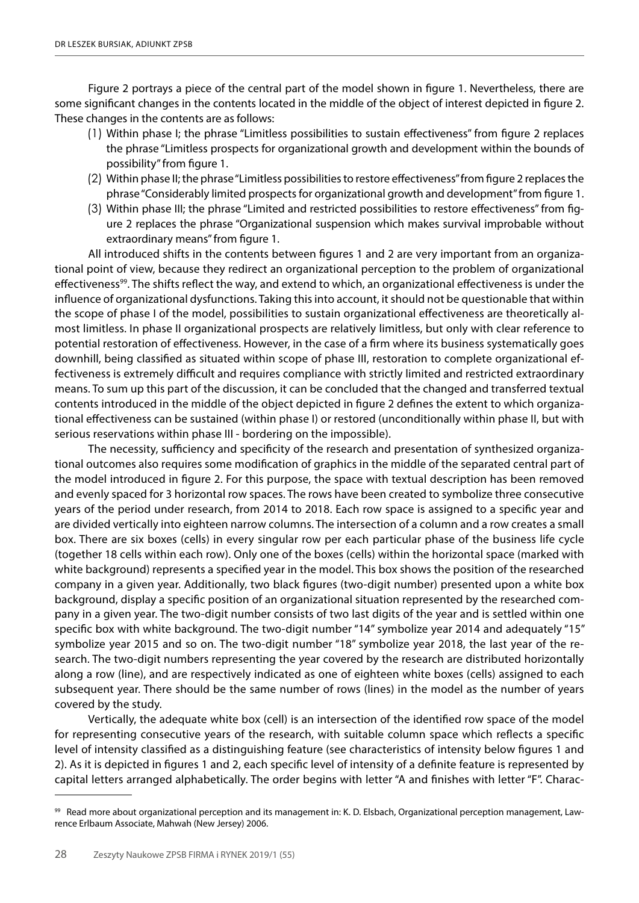Figure 2 portrays a piece of the central part of the model shown in figure 1. Nevertheless, there are some significant changes in the contents located in the middle of the object of interest depicted in figure 2. These changes in the contents are as follows:

- (1) Within phase I; the phrase "Limitless possibilities to sustain effectiveness" from figure 2 replaces the phrase "Limitless prospects for organizational growth and development within the bounds of possibility" from figure 1.
- (2) Within phase II; the phrase "Limitless possibilities to restore effectiveness" from figure 2 replaces the phrase "Considerably limited prospects for organizational growth and development" from figure 1.
- (3) Within phase III; the phrase "Limited and restricted possibilities to restore effectiveness" from figure 2 replaces the phrase "Organizational suspension which makes survival improbable without extraordinary means" from figure 1.

All introduced shifts in the contents between figures 1 and 2 are very important from an organizational point of view, because they redirect an organizational perception to the problem of organizational effectiveness<sup>99</sup>. The shifts reflect the way, and extend to which, an organizational effectiveness is under the influence of organizational dysfunctions. Taking this into account, it should not be questionable that within the scope of phase I of the model, possibilities to sustain organizational effectiveness are theoretically almost limitless. In phase II organizational prospects are relatively limitless, but only with clear reference to potential restoration of effectiveness. However, in the case of a firm where its business systematically goes downhill, being classified as situated within scope of phase III, restoration to complete organizational effectiveness is extremely difficult and requires compliance with strictly limited and restricted extraordinary means. To sum up this part of the discussion, it can be concluded that the changed and transferred textual contents introduced in the middle of the object depicted in figure 2 defines the extent to which organizational effectiveness can be sustained (within phase I) or restored (unconditionally within phase II, but with serious reservations within phase III - bordering on the impossible).

The necessity, sufficiency and specificity of the research and presentation of synthesized organizational outcomes also requires some modification of graphics in the middle of the separated central part of the model introduced in figure 2. For this purpose, the space with textual description has been removed and evenly spaced for 3 horizontal row spaces. The rows have been created to symbolize three consecutive years of the period under research, from 2014 to 2018. Each row space is assigned to a specific year and are divided vertically into eighteen narrow columns. The intersection of a column and a row creates a small box. There are six boxes (cells) in every singular row per each particular phase of the business life cycle (together 18 cells within each row). Only one of the boxes (cells) within the horizontal space (marked with white background) represents a specified year in the model. This box shows the position of the researched company in a given year. Additionally, two black figures (two-digit number) presented upon a white box background, display a specific position of an organizational situation represented by the researched company in a given year. The two-digit number consists of two last digits of the year and is settled within one specific box with white background. The two-digit number "14" symbolize year 2014 and adequately "15" symbolize year 2015 and so on. The two-digit number "18" symbolize year 2018, the last year of the research. The two-digit numbers representing the year covered by the research are distributed horizontally along a row (line), and are respectively indicated as one of eighteen white boxes (cells) assigned to each subsequent year. There should be the same number of rows (lines) in the model as the number of years covered by the study.

Vertically, the adequate white box (cell) is an intersection of the identified row space of the model for representing consecutive years of the research, with suitable column space which reflects a specific level of intensity classified as a distinguishing feature (see characteristics of intensity below figures 1 and 2). As it is depicted in figures 1 and 2, each specific level of intensity of a definite feature is represented by capital letters arranged alphabetically. The order begins with letter "A and finishes with letter "F". Charac-

<sup>99</sup> Read more about organizational perception and its management in: K. D. Elsbach, Organizational perception management, Lawrence Erlbaum Associate, Mahwah (New Jersey) 2006.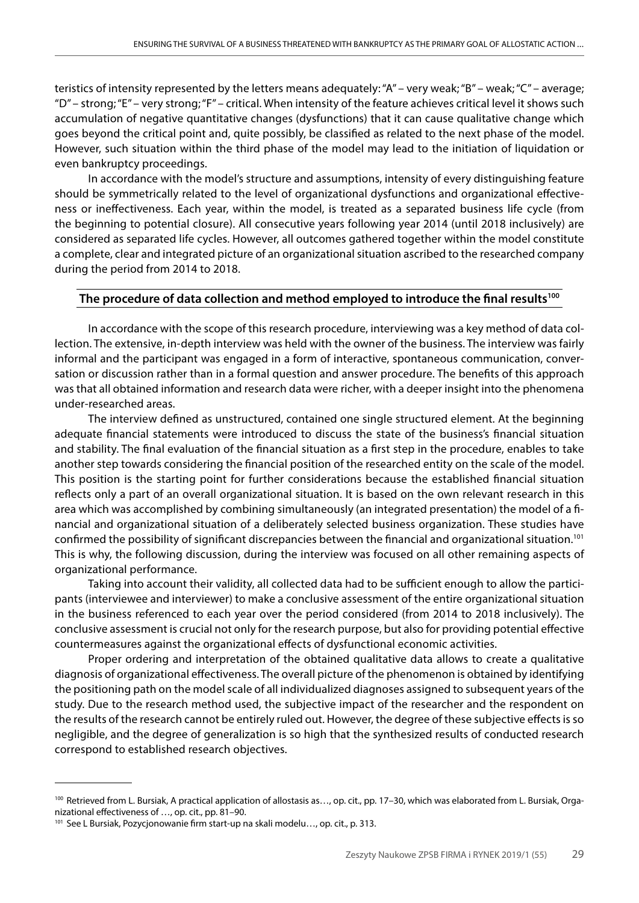teristics of intensity represented by the letters means adequately: "A" – very weak; "B" – weak; "C" – average; "D" – strong; "E" – very strong; "F" – critical. When intensity of the feature achieves critical level it shows such accumulation of negative quantitative changes (dysfunctions) that it can cause qualitative change which goes beyond the critical point and, quite possibly, be classified as related to the next phase of the model. However, such situation within the third phase of the model may lead to the initiation of liquidation or even bankruptcy proceedings.

In accordance with the model's structure and assumptions, intensity of every distinguishing feature should be symmetrically related to the level of organizational dysfunctions and organizational effectiveness or ineffectiveness. Each year, within the model, is treated as a separated business life cycle (from the beginning to potential closure). All consecutive years following year 2014 (until 2018 inclusively) are considered as separated life cycles. However, all outcomes gathered together within the model constitute a complete, clear and integrated picture of an organizational situation ascribed to the researched company during the period from 2014 to 2018.

### The procedure of data collection and method employed to introduce the final results<sup>100</sup>

In accordance with the scope of this research procedure, interviewing was a key method of data collection. The extensive, in-depth interview was held with the owner of the business. The interview was fairly informal and the participant was engaged in a form of interactive, spontaneous communication, conversation or discussion rather than in a formal question and answer procedure. The benefits of this approach was that all obtained information and research data were richer, with a deeper insight into the phenomena under‐researched areas.

The interview defined as unstructured, contained one single structured element. At the beginning adequate financial statements were introduced to discuss the state of the business's financial situation and stability. The final evaluation of the financial situation as a first step in the procedure, enables to take another step towards considering the financial position of the researched entity on the scale of the model. This position is the starting point for further considerations because the established financial situation reflects only a part of an overall organizational situation. It is based on the own relevant research in this area which was accomplished by combining simultaneously (an integrated presentation) the model of a financial and organizational situation of a deliberately selected business organization. These studies have confirmed the possibility of significant discrepancies between the financial and organizational situation.101 This is why, the following discussion, during the interview was focused on all other remaining aspects of organizational performance.

Taking into account their validity, all collected data had to be sufficient enough to allow the participants (interviewee and interviewer) to make a conclusive assessment of the entire organizational situation in the business referenced to each year over the period considered (from 2014 to 2018 inclusively). The conclusive assessment is crucial not only for the research purpose, but also for providing potential effective countermeasures against the organizational effects of dysfunctional economic activities.

Proper ordering and interpretation of the obtained qualitative data allows to create a qualitative diagnosis of organizational effectiveness. The overall picture of the phenomenon is obtained by identifying the positioning path on the model scale of all individualized diagnoses assigned to subsequent years of the study. Due to the research method used, the subjective impact of the researcher and the respondent on the results of the research cannot be entirely ruled out. However, the degree of these subjective effects is so negligible, and the degree of generalization is so high that the synthesized results of conducted research correspond to established research objectives.

<sup>&</sup>lt;sup>100</sup> Retrieved from L. Bursiak, A practical application of allostasis as..., op. cit., pp. 17-30, which was elaborated from L. Bursiak, Organizational effectiveness of …, op. cit., pp. 81–90.

<sup>101</sup> See L Bursiak, Pozycjonowanie firm start-up na skali modelu…, op. cit., p. 313.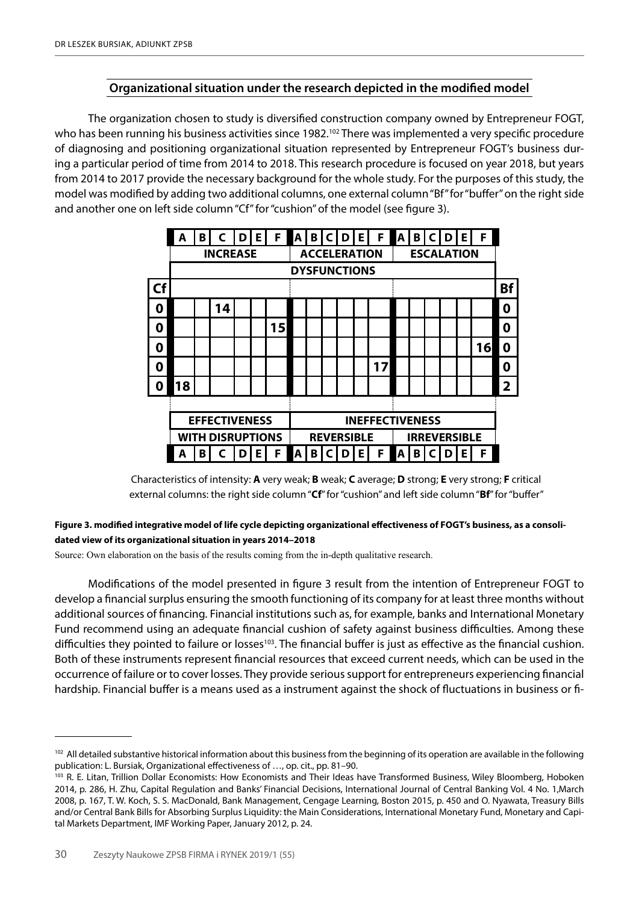# **Organizational situation under the research depicted in the modified model**

The organization chosen to study is diversified construction company owned by Entrepreneur FOGT, who has been running his business activities since 1982.<sup>102</sup> There was implemented a very specific procedure of diagnosing and positioning organizational situation represented by Entrepreneur FOGT's business during a particular period of time from 2014 to 2018. This research procedure is focused on year 2018, but years from 2014 to 2017 provide the necessary background for the whole study. For the purposes of this study, the model was modified by adding two additional columns, one external column "Bf" for "buffer" on the right side and another one on left side column "Cf" for "cushion" of the model (see figure 3).

|                  | A                       | B               |    | D | Е. | F  | A |                                          | B C                 | D I | Е. | F  | A | B | C                 | D | Е | F  |                         |
|------------------|-------------------------|-----------------|----|---|----|----|---|------------------------------------------|---------------------|-----|----|----|---|---|-------------------|---|---|----|-------------------------|
|                  |                         | <b>INCREASE</b> |    |   |    |    |   |                                          | <b>ACCELERATION</b> |     |    |    |   |   | <b>ESCALATION</b> |   |   |    |                         |
|                  |                         |                 |    |   |    |    |   | <b>DYSFUNCTIONS</b>                      |                     |     |    |    |   |   |                   |   |   |    |                         |
| Cf               |                         |                 |    |   |    |    |   |                                          |                     |     |    |    |   |   |                   |   |   |    | <b>Bf</b>               |
| 0                |                         |                 | 14 |   |    |    |   |                                          |                     |     |    |    |   |   |                   |   |   |    | 0                       |
| 0                |                         |                 |    |   |    | 15 |   |                                          |                     |     |    |    |   |   |                   |   |   |    | 0                       |
| 0                |                         |                 |    |   |    |    |   |                                          |                     |     |    |    |   |   |                   |   |   | 16 | 0                       |
| 0                |                         |                 |    |   |    |    |   |                                          |                     |     |    | 17 |   |   |                   |   |   |    | 0                       |
| $\boldsymbol{0}$ | 18                      |                 |    |   |    |    |   |                                          |                     |     |    |    |   |   |                   |   |   |    | $\overline{\mathbf{2}}$ |
|                  |                         |                 |    |   |    |    |   |                                          |                     |     |    |    |   |   |                   |   |   |    |                         |
|                  | <b>EFFECTIVENESS</b>    |                 |    |   |    |    |   | <b>INEFFECTIVENESS</b>                   |                     |     |    |    |   |   |                   |   |   |    |                         |
|                  | <b>WITH DISRUPTIONS</b> |                 |    |   |    |    |   | <b>REVERSIBLE</b><br><b>IRREVERSIBLE</b> |                     |     |    |    |   |   |                   |   |   |    |                         |
|                  | A                       | B               |    | D | Е  | F  | Α | B                                        |                     | D   | Е  | F  | Α | В | C                 | D | Е | F  |                         |

Characteristics of intensity: **A** very weak; **B** weak; **C** average; **D** strong; **E** very strong; **F** critical external columns: the right side column "**Cf**" for "cushion" and left side column "**Bf**" for "buffer"

### **Figure 3. modified integrative model of life cycle depicting organizational effectiveness of FOGT's business, as a consolidated view of its organizational situation in years 2014–2018**

Source: Own elaboration on the basis of the results coming from the in-depth qualitative research.

Modifications of the model presented in figure 3 result from the intention of Entrepreneur FOGT to develop a financial surplus ensuring the smooth functioning of its company for at least three months without additional sources of financing. Financial institutions such as, for example, banks and International Monetary Fund recommend using an adequate financial cushion of safety against business difficulties. Among these difficulties they pointed to failure or losses<sup>103</sup>. The financial buffer is just as effective as the financial cushion. Both of these instruments represent financial resources that exceed current needs, which can be used in the occurrence of failure or to cover losses. They provide serious support for entrepreneurs experiencing financial hardship. Financial buffer is a means used as a instrument against the shock of fluctuations in business or fi-

<sup>&</sup>lt;sup>102</sup> All detailed substantive historical information about this business from the beginning of its operation are available in the following publication: L. Bursiak, Organizational effectiveness of …, op. cit., pp. 81–90.

<sup>&</sup>lt;sup>103</sup> R. E. Litan, Trillion Dollar Economists: How Economists and Their Ideas have Transformed Business, Wiley Bloomberg, Hoboken 2014, p. 286, H. Zhu, Capital Regulation and Banks' Financial Decisions, International Journal of Central Banking Vol. 4 No. 1,March 2008, p. 167, T. W. Koch, S. S. MacDonald, Bank Management, Cengage Learning, Boston 2015, p. 450 and O. Nyawata, Treasury Bills and/or Central Bank Bills for Absorbing Surplus Liquidity: the Main Considerations, International Monetary Fund, Monetary and Capital Markets Department, IMF Working Paper, January 2012, p. 24.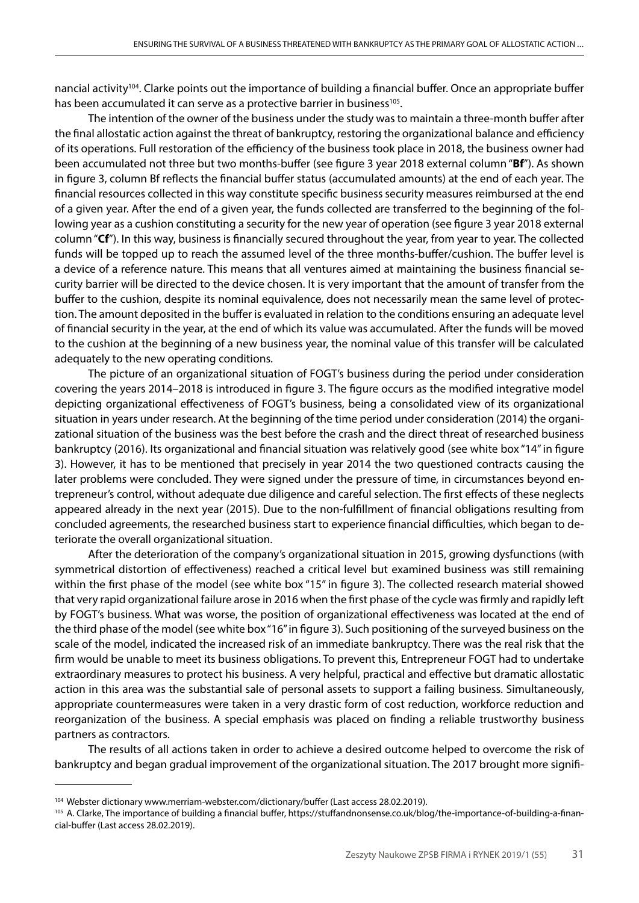nancial activity<sup>104</sup>. Clarke points out the importance of building a financial buffer. Once an appropriate buffer has been accumulated it can serve as a protective barrier in business<sup>105</sup>.

The intention of the owner of the business under the study was to maintain a three-month buffer after the final allostatic action against the threat of bankruptcy, restoring the organizational balance and efficiency of its operations. Full restoration of the efficiency of the business took place in 2018, the business owner had been accumulated not three but two months-buffer (see figure 3 year 2018 external column "**Bf**"). As shown in figure 3, column Bf reflects the financial buffer status (accumulated amounts) at the end of each year. The financial resources collected in this way constitute specific business security measures reimbursed at the end of a given year. After the end of a given year, the funds collected are transferred to the beginning of the following year as a cushion constituting a security for the new year of operation (see figure 3 year 2018 external column "**Cf**"). In this way, business is financially secured throughout the year, from year to year. The collected funds will be topped up to reach the assumed level of the three months-buffer/cushion. The buffer level is a device of a reference nature. This means that all ventures aimed at maintaining the business financial security barrier will be directed to the device chosen. It is very important that the amount of transfer from the buffer to the cushion, despite its nominal equivalence, does not necessarily mean the same level of protection. The amount deposited in the buffer is evaluated in relation to the conditions ensuring an adequate level of financial security in the year, at the end of which its value was accumulated. After the funds will be moved to the cushion at the beginning of a new business year, the nominal value of this transfer will be calculated adequately to the new operating conditions.

The picture of an organizational situation of FOGT's business during the period under consideration covering the years 2014–2018 is introduced in figure 3. The figure occurs as the modified integrative model depicting organizational effectiveness of FOGT's business, being a consolidated view of its organizational situation in years under research. At the beginning of the time period under consideration (2014) the organizational situation of the business was the best before the crash and the direct threat of researched business bankruptcy (2016). Its organizational and financial situation was relatively good (see white box "14" in figure 3). However, it has to be mentioned that precisely in year 2014 the two questioned contracts causing the later problems were concluded. They were signed under the pressure of time, in circumstances beyond entrepreneur's control, without adequate due diligence and careful selection. The first effects of these neglects appeared already in the next year (2015). Due to the non-fulfillment of financial obligations resulting from concluded agreements, the researched business start to experience financial difficulties, which began to deteriorate the overall organizational situation.

After the deterioration of the company's organizational situation in 2015, growing dysfunctions (with symmetrical distortion of effectiveness) reached a critical level but examined business was still remaining within the first phase of the model (see white box "15" in figure 3). The collected research material showed that very rapid organizational failure arose in 2016 when the first phase of the cycle was firmly and rapidly left by FOGT's business. What was worse, the position of organizational effectiveness was located at the end of the third phase of the model (see white box "16" in figure 3). Such positioning of the surveyed business on the scale of the model, indicated the increased risk of an immediate bankruptcy. There was the real risk that the firm would be unable to meet its business obligations. To prevent this, Entrepreneur FOGT had to undertake extraordinary measures to protect his business. A very helpful, practical and effective but dramatic allostatic action in this area was the substantial sale of personal assets to support a failing business. Simultaneously, appropriate countermeasures were taken in a very drastic form of cost reduction, workforce reduction and reorganization of the business. A special emphasis was placed on finding a reliable trustworthy business partners as contractors.

The results of all actions taken in order to achieve a desired outcome helped to overcome the risk of bankruptcy and began gradual improvement of the organizational situation. The 2017 brought more signifi-

<sup>&</sup>lt;sup>104</sup> Webster dictionary www.merriam-webster.com/dictionary/buffer (Last access 28.02.2019).

<sup>105</sup> A. Clarke, The importance of building a financial buffer, https://stuffandnonsense.co.uk/blog/the-importance-of-building-a-financial-buffer (Last access 28.02.2019).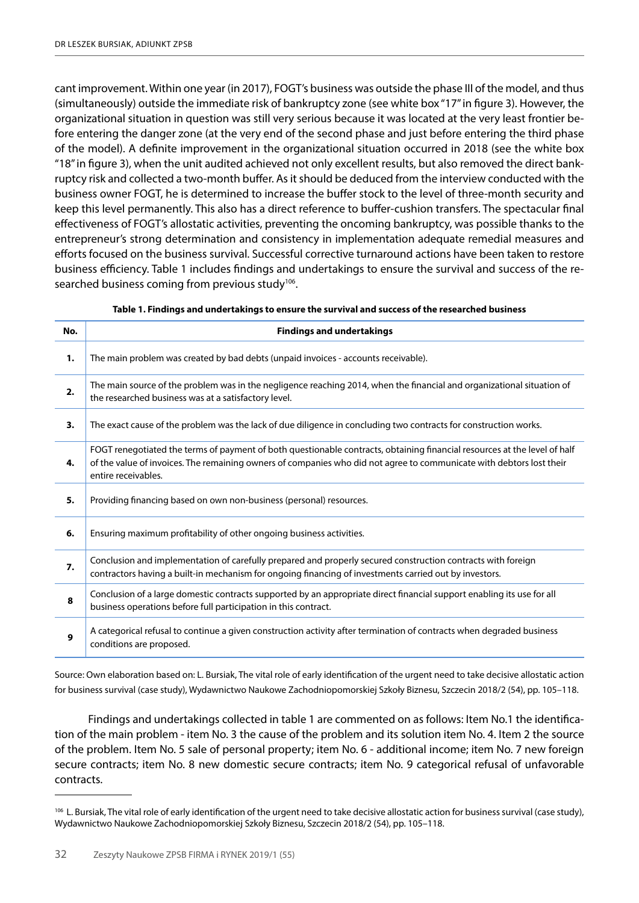cant improvement. Within one year (in 2017), FOGT's business was outside the phase III of the model, and thus (simultaneously) outside the immediate risk of bankruptcy zone (see white box "17" in figure 3). However, the organizational situation in question was still very serious because it was located at the very least frontier before entering the danger zone (at the very end of the second phase and just before entering the third phase of the model). A definite improvement in the organizational situation occurred in 2018 (see the white box "18" in figure 3), when the unit audited achieved not only excellent results, but also removed the direct bankruptcy risk and collected a two-month buffer. As it should be deduced from the interview conducted with the business owner FOGT, he is determined to increase the buffer stock to the level of three-month security and keep this level permanently. This also has a direct reference to buffer-cushion transfers. The spectacular final effectiveness of FOGT's allostatic activities, preventing the oncoming bankruptcy, was possible thanks to the entrepreneur's strong determination and consistency in implementation adequate remedial measures and efforts focused on the business survival. Successful corrective turnaround actions have been taken to restore business efficiency. Table 1 includes findings and undertakings to ensure the survival and success of the researched business coming from previous study<sup>106</sup>.

| No. | <b>Findings and undertakings</b>                                                                                                                                                                                                                                         |
|-----|--------------------------------------------------------------------------------------------------------------------------------------------------------------------------------------------------------------------------------------------------------------------------|
| 1.  | The main problem was created by bad debts (unpaid invoices - accounts receivable).                                                                                                                                                                                       |
| 2.  | The main source of the problem was in the negligence reaching 2014, when the financial and organizational situation of<br>the researched business was at a satisfactory level.                                                                                           |
| 3.  | The exact cause of the problem was the lack of due diligence in concluding two contracts for construction works.                                                                                                                                                         |
| 4.  | FOGT renegotiated the terms of payment of both questionable contracts, obtaining financial resources at the level of half<br>of the value of invoices. The remaining owners of companies who did not agree to communicate with debtors lost their<br>entire receivables. |
| 5.  | Providing financing based on own non-business (personal) resources.                                                                                                                                                                                                      |
| 6.  | Ensuring maximum profitability of other ongoing business activities.                                                                                                                                                                                                     |
| 7.  | Conclusion and implementation of carefully prepared and properly secured construction contracts with foreign<br>contractors having a built-in mechanism for ongoing financing of investments carried out by investors.                                                   |
| 8   | Conclusion of a large domestic contracts supported by an appropriate direct financial support enabling its use for all<br>business operations before full participation in this contract.                                                                                |
| 9   | A categorical refusal to continue a given construction activity after termination of contracts when degraded business<br>conditions are proposed.                                                                                                                        |

|  |  | Table 1. Findings and undertakings to ensure the survival and success of the researched business |
|--|--|--------------------------------------------------------------------------------------------------|
|  |  |                                                                                                  |

Source: Own elaboration based on: L. Bursiak, The vital role of early identification of the urgent need to take decisive allostatic action for business survival (case study), Wydawnictwo Naukowe Zachodniopomorskiej Szkoły Biznesu, Szczecin 2018/2 (54), pp. 105–118.

Findings and undertakings collected in table 1 are commented on as follows: Item No.1 the identification of the main problem - item No. 3 the cause of the problem and its solution item No. 4. Item 2 the source of the problem. Item No. 5 sale of personal property; item No. 6 - additional income; item No. 7 new foreign secure contracts; item No. 8 new domestic secure contracts; item No. 9 categorical refusal of unfavorable contracts.

<sup>&</sup>lt;sup>106</sup> L. Bursiak, The vital role of early identification of the urgent need to take decisive allostatic action for business survival (case study), Wydawnictwo Naukowe Zachodniopomorskiej Szkoły Biznesu, Szczecin 2018/2 (54), pp. 105–118.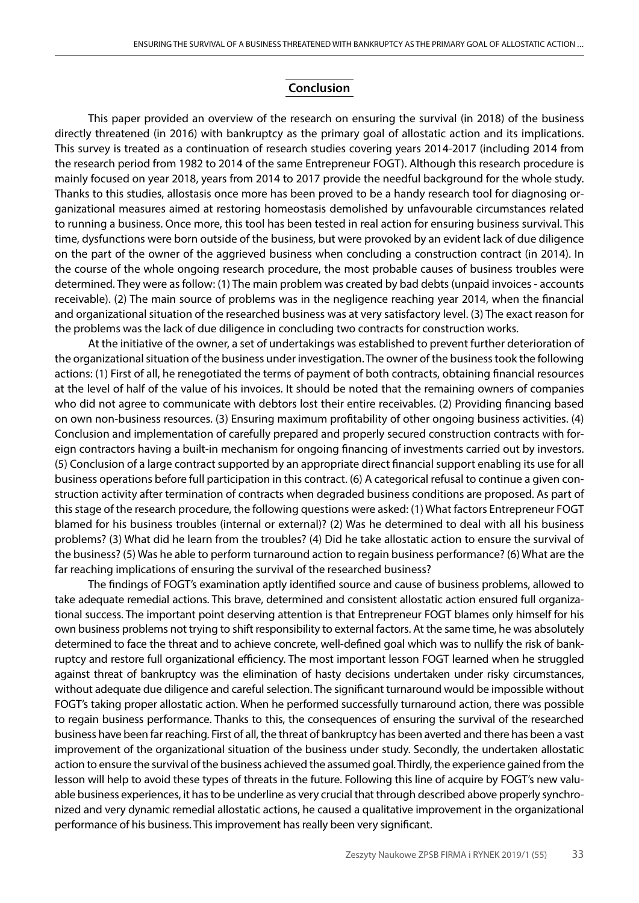## **Conclusion**

This paper provided an overview of the research on ensuring the survival (in 2018) of the business directly threatened (in 2016) with bankruptcy as the primary goal of allostatic action and its implications. This survey is treated as a continuation of research studies covering years 2014-2017 (including 2014 from the research period from 1982 to 2014 of the same Entrepreneur FOGT). Although this research procedure is mainly focused on year 2018, years from 2014 to 2017 provide the needful background for the whole study. Thanks to this studies, allostasis once more has been proved to be a handy research tool for diagnosing organizational measures aimed at restoring homeostasis demolished by unfavourable circumstances related to running a business. Once more, this tool has been tested in real action for ensuring business survival. This time, dysfunctions were born outside of the business, but were provoked by an evident lack of due diligence on the part of the owner of the aggrieved business when concluding a construction contract (in 2014). In the course of the whole ongoing research procedure, the most probable causes of business troubles were determined. They were as follow: (1) The main problem was created by bad debts (unpaid invoices - accounts receivable). (2) The main source of problems was in the negligence reaching year 2014, when the financial and organizational situation of the researched business was at very satisfactory level. (3) The exact reason for the problems was the lack of due diligence in concluding two contracts for construction works.

At the initiative of the owner, a set of undertakings was established to prevent further deterioration of the organizational situation of the business under investigation. The owner of the business took the following actions: (1) First of all, he renegotiated the terms of payment of both contracts, obtaining financial resources at the level of half of the value of his invoices. It should be noted that the remaining owners of companies who did not agree to communicate with debtors lost their entire receivables. (2) Providing financing based on own non-business resources. (3) Ensuring maximum profitability of other ongoing business activities. (4) Conclusion and implementation of carefully prepared and properly secured construction contracts with foreign contractors having a built-in mechanism for ongoing financing of investments carried out by investors. (5) Conclusion of a large contract supported by an appropriate direct financial support enabling its use for all business operations before full participation in this contract. (6) A categorical refusal to continue a given construction activity after termination of contracts when degraded business conditions are proposed. As part of this stage of the research procedure, the following questions were asked: (1) What factors Entrepreneur FOGT blamed for his business troubles (internal or external)? (2) Was he determined to deal with all his business problems? (3) What did he learn from the troubles? (4) Did he take allostatic action to ensure the survival of the business? (5) Was he able to perform turnaround action to regain business performance? (6) What are the far reaching implications of ensuring the survival of the researched business?

The findings of FOGT's examination aptly identified source and cause of business problems, allowed to take adequate remedial actions. This brave, determined and consistent allostatic action ensured full organizational success. The important point deserving attention is that Entrepreneur FOGT blames only himself for his own business problems not trying to shift responsibility to external factors. At the same time, he was absolutely determined to face the threat and to achieve concrete, well-defined goal which was to nullify the risk of bankruptcy and restore full organizational efficiency. The most important lesson FOGT learned when he struggled against threat of bankruptcy was the elimination of hasty decisions undertaken under risky circumstances, without adequate due diligence and careful selection. The significant turnaround would be impossible without FOGT's taking proper allostatic action. When he performed successfully turnaround action, there was possible to regain business performance. Thanks to this, the consequences of ensuring the survival of the researched business have been far reaching. First of all, the threat of bankruptcy has been averted and there has been a vast improvement of the organizational situation of the business under study. Secondly, the undertaken allostatic action to ensure the survival of the business achieved the assumed goal. Thirdly, the experience gained from the lesson will help to avoid these types of threats in the future. Following this line of acquire by FOGT's new valuable business experiences, it has to be underline as very crucial that through described above properly synchronized and very dynamic remedial allostatic actions, he caused a qualitative improvement in the organizational performance of his business. This improvement has really been very significant.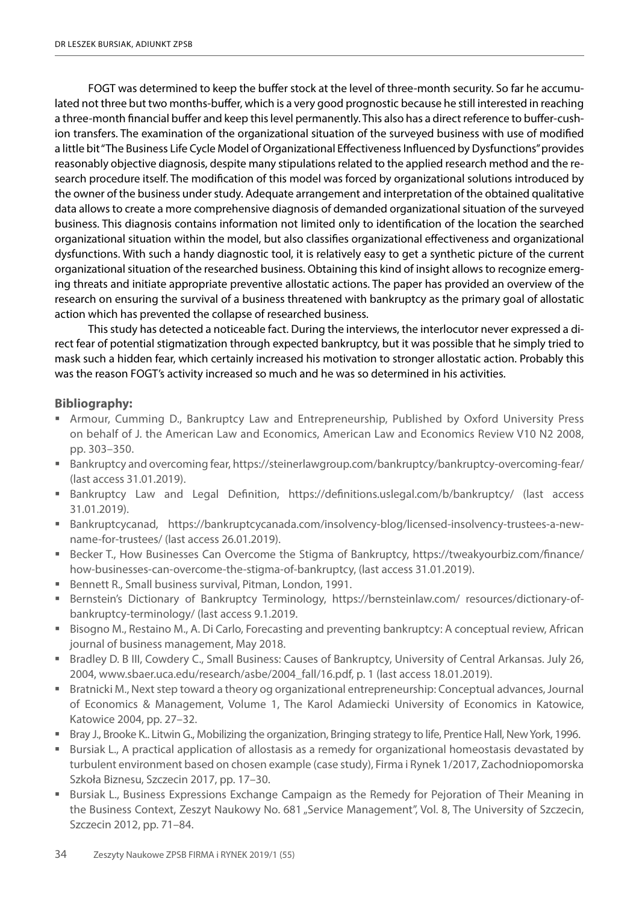FOGT was determined to keep the buffer stock at the level of three-month security. So far he accumulated not three but two months-buffer, which is a very good prognostic because he still interested in reaching a three-month financial buffer and keep this level permanently. This also has a direct reference to buffer-cushion transfers. The examination of the organizational situation of the surveyed business with use of modified a little bit "The Business Life Cycle Model of Organizational Effectiveness Influenced by Dysfunctions" provides reasonably objective diagnosis, despite many stipulations related to the applied research method and the research procedure itself. The modification of this model was forced by organizational solutions introduced by the owner of the business under study. Adequate arrangement and interpretation of the obtained qualitative data allows to create a more comprehensive diagnosis of demanded organizational situation of the surveyed business. This diagnosis contains information not limited only to identification of the location the searched organizational situation within the model, but also classifies organizational effectiveness and organizational dysfunctions. With such a handy diagnostic tool, it is relatively easy to get a synthetic picture of the current organizational situation of the researched business. Obtaining this kind of insight allows to recognize emerging threats and initiate appropriate preventive allostatic actions. The paper has provided an overview of the research on ensuring the survival of a business threatened with bankruptcy as the primary goal of allostatic action which has prevented the collapse of researched business.

This study has detected a noticeable fact. During the interviews, the interlocutor never expressed a direct fear of potential stigmatization through expected bankruptcy, but it was possible that he simply tried to mask such a hidden fear, which certainly increased his motivation to stronger allostatic action. Probably this was the reason FOGT's activity increased so much and he was so determined in his activities.

# **Bibliography:**

- Armour, Cumming D., Bankruptcy Law and Entrepreneurship, Published by Oxford University Press on behalf of J. the American Law and Economics, American Law and Economics Review V10 N2 2008, pp. 303–350.
- Bankruptcy and overcoming fear, https://steinerlawgroup.com/bankruptcy/bankruptcy-overcoming-fear/ (last access 31.01.2019).
- Bankruptcy Law and Legal Definition, https://definitions.uslegal.com/b/bankruptcy/ (last access 31.01.2019).
- Bankruptcycanad, https://bankruptcycanada.com/insolvency-blog/licensed-insolvency-trustees-a-newname-for-trustees/ (last access 26.01.2019).
- Becker T., How Businesses Can Overcome the Stigma of Bankruptcy, https://tweakyourbiz.com/finance/ how-businesses-can-overcome-the-stigma-of-bankruptcy, (last access 31.01.2019).
- Bennett R., Small business survival, Pitman, London, 1991.
- Bernstein's Dictionary of Bankruptcy Terminology, https://bernsteinlaw.com/ resources/dictionary-ofbankruptcy-terminology/ (last access 9.1.2019.
- **Bisogno M., Restaino M., A. Di Carlo, Forecasting and preventing bankruptcy: A conceptual review, African** journal of business management, May 2018.
- Bradley D. B III, Cowdery C., Small Business: Causes of Bankruptcy, University of Central Arkansas. July 26, 2004, www.sbaer.uca.edu/research/asbe/2004\_fall/16.pdf, p. 1 (last access 18.01.2019).
- Bratnicki M., Next step toward a theory og organizational entrepreneurship: Conceptual advances, Journal of Economics & Management, Volume 1, The Karol Adamiecki University of Economics in Katowice, Katowice 2004, pp. 27–32.
- Bray J., Brooke K.. Litwin G., Mobilizing the organization, Bringing strategy to life, Prentice Hall, New York, 1996.
- **Bursiak L., A practical application of allostasis as a remedy for organizational homeostasis devastated by** turbulent environment based on chosen example (case study), Firma i Rynek 1/2017, Zachodniopomorska Szkoła Biznesu, Szczecin 2017, pp. 17–30.
- **Bursiak L., Business Expressions Exchange Campaign as the Remedy for Pejoration of Their Meaning in** the Business Context, Zeszyt Naukowy No. 681 "Service Management", Vol. 8, The University of Szczecin, Szczecin 2012, pp. 71–84.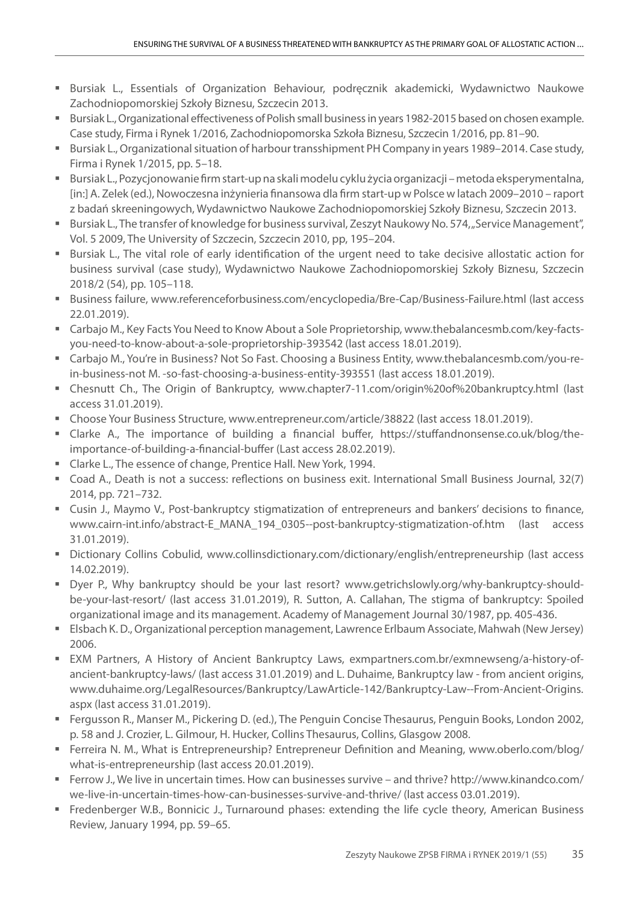- Bursiak L., Essentials of Organization Behaviour, podręcznik akademicki, Wydawnictwo Naukowe Zachodniopomorskiej Szkoły Biznesu, Szczecin 2013.
- Bursiak L., Organizational effectiveness of Polish small business in years 1982-2015 based on chosen example. Case study, Firma i Rynek 1/2016, Zachodniopomorska Szkoła Biznesu, Szczecin 1/2016, pp. 81–90.
- Bursiak L., Organizational situation of harbour transshipment PH Company in years 1989–2014. Case study, Firma i Rynek 1/2015, pp. 5–18.
- Bursiak L., Pozycjonowanie firm start-up na skali modelu cyklu życia organizacji metoda eksperymentalna, [in:] A. Zelek (ed.), Nowoczesna inżynieria finansowa dla firm start-up w Polsce w latach 2009–2010 – raport z badań skreeningowych, Wydawnictwo Naukowe Zachodniopomorskiej Szkoły Biznesu, Szczecin 2013.
- Bursiak L., The transfer of knowledge for business survival, Zeszyt Naukowy No. 574, "Service Management", Vol. 5 2009, The University of Szczecin, Szczecin 2010, pp, 195–204.
- Bursiak L., The vital role of early identification of the urgent need to take decisive allostatic action for business survival (case study), Wydawnictwo Naukowe Zachodniopomorskiej Szkoły Biznesu, Szczecin 2018/2 (54), pp. 105–118.
- Business failure, www.referenceforbusiness.com/encyclopedia/Bre-Cap/Business-Failure.html (last access 22.01.2019).
- Carbajo M., Key Facts You Need to Know About a Sole Proprietorship, www.thebalancesmb.com/key-factsyou-need-to-know-about-a-sole-proprietorship-393542 (last access 18.01.2019).
- Carbajo M., You're in Business? Not So Fast. Choosing a Business Entity, www.thebalancesmb.com/you-rein-business-not M. -so-fast-choosing-a-business-entity-393551 (last access 18.01.2019).
- Chesnutt Ch., The Origin of Bankruptcy, www.chapter7-11.com/origin%20of%20bankruptcy.html (last access 31.01.2019).
- Choose Your Business Structure, www.entrepreneur.com/article/38822 (last access 18.01.2019).
- Clarke A., The importance of building a financial buffer, https://stuffandnonsense.co.uk/blog/theimportance-of-building-a-financial-buffer (Last access 28.02.2019).
- Clarke L., The essence of change, Prentice Hall. New York, 1994.
- Coad A., Death is not a success: reflections on business exit. International Small Business Journal, 32(7) 2014, pp. 721–732.
- Cusin J., Maymo V., Post-bankruptcy stigmatization of entrepreneurs and bankers' decisions to finance, www.cairn-int.info/abstract-E\_MANA\_194\_0305--post-bankruptcy-stigmatization-of.htm (last access 31.01.2019).
- Dictionary Collins Cobulid, www.collinsdictionary.com/dictionary/english/entrepreneurship (last access 14.02.2019).
- Dyer P., Why bankruptcy should be your last resort? www.getrichslowly.org/why-bankruptcy-shouldbe-your-last-resort/ (last access 31.01.2019), R. Sutton, A. Callahan, The stigma of bankruptcy: Spoiled organizational image and its management. Academy of Management Journal 30/1987, pp. 405-436.
- Elsbach K. D., Organizational perception management, Lawrence Erlbaum Associate, Mahwah (New Jersey) 2006.
- EXM Partners, A History of Ancient Bankruptcy Laws, exmpartners.com.br/exmnewseng/a-history-ofancient-bankruptcy-laws/ (last access 31.01.2019) and L. Duhaime, Bankruptcy law - from ancient origins, www.duhaime.org/LegalResources/Bankruptcy/LawArticle-142/Bankruptcy-Law--From-Ancient-Origins. aspx (last access 31.01.2019).
- Fergusson R., Manser M., Pickering D. (ed.), The Penguin Concise Thesaurus, Penguin Books, London 2002, p. 58 and J. Crozier, L. Gilmour, H. Hucker, Collins Thesaurus, Collins, Glasgow 2008.
- Ferreira N. M., What is Entrepreneurship? Entrepreneur Definition and Meaning, www.oberlo.com/blog/ what-is-entrepreneurship (last access 20.01.2019).
- Ferrow J., We live in uncertain times. How can businesses survive and thrive? http://www.kinandco.com/ we-live-in-uncertain-times-how-can-businesses-survive-and-thrive/ (last access 03.01.2019).
- Fredenberger W.B., Bonnicic J., Turnaround phases: extending the life cycle theory, American Business Review, January 1994, pp. 59–65.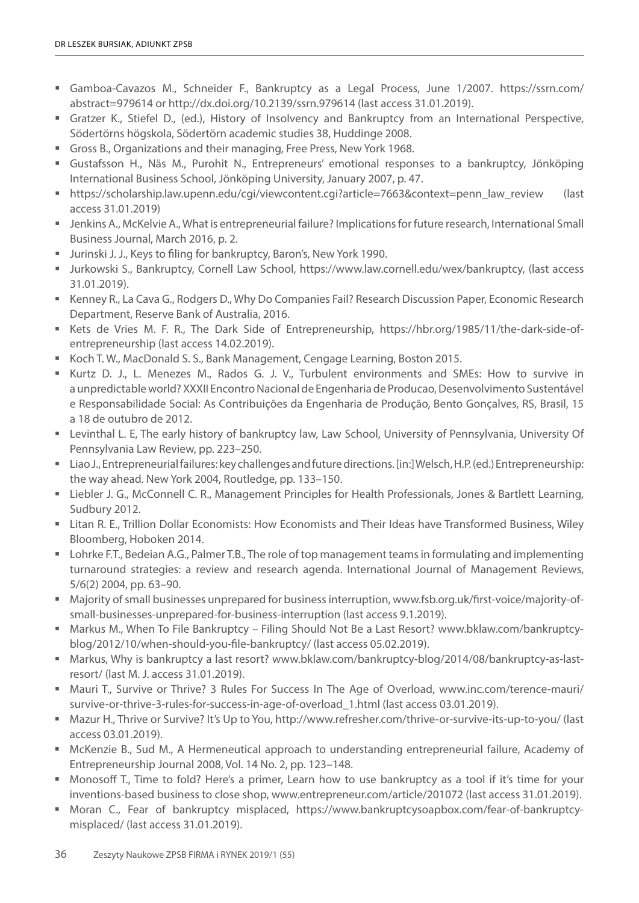- Gamboa-Cavazos M., Schneider F., Bankruptcy as a Legal Process, June 1/2007. https://ssrn.com/ abstract=979614 or http://dx.doi.org/10.2139/ssrn.979614 (last access 31.01.2019).
- Gratzer K., Stiefel D., (ed.), History of Insolvency and Bankruptcy from an International Perspective, Södertörns högskola, Södertörn academic studies 38, Huddinge 2008.
- Gross B., Organizations and their managing, Free Press, New York 1968.
- Gustafsson H., Näs M., Purohit N., Entrepreneurs' emotional responses to a bankruptcy, Jönköping International Business School, Jönköping University, January 2007, p. 47.
- https://scholarship.law.upenn.edu/cgi/viewcontent.cgi?article=7663&context=penn\_law\_review (last access 31.01.2019)
- Jenkins A., McKelvie A., What is entrepreneurial failure? Implications for future research, International Small Business Journal, March 2016, p. 2.
- Jurinski J. J., Keys to filing for bankruptcy, Baron's, New York 1990.
- Jurkowski S., Bankruptcy, Cornell Law School, https://www.law.cornell.edu/wex/bankruptcy, (last access 31.01.2019).
- Kenney R., La Cava G., Rodgers D., Why Do Companies Fail? Research Discussion Paper, Economic Research Department, Reserve Bank of Australia, 2016.
- Kets de Vries M. F. R., The Dark Side of Entrepreneurship, https://hbr.org/1985/11/the-dark-side-ofentrepreneurship (last access 14.02.2019).
- Koch T. W., MacDonald S. S., Bank Management, Cengage Learning, Boston 2015.
- Kurtz D. J., L. Menezes M., Rados G. J. V., Turbulent environments and SMEs: How to survive in a unpredictable world? XXXII Encontro Nacional de Engenharia de Producao, Desenvolvimento Sustentável e Responsabilidade Social: As Contribuições da Engenharia de Produção, Bento Gonçalves, RS, Brasil, 15 a 18 de outubro de 2012.
- Levinthal L. E, The early history of bankruptcy law, Law School, University of Pennsylvania, University Of Pennsylvania Law Review, pp. 223–250.
- Liao J., Entrepreneurial failures: key challenges and future directions. [in:] Welsch, H.P. (ed.) Entrepreneurship: the way ahead. New York 2004, Routledge, pp. 133–150.
- Liebler J. G., McConnell C. R., Management Principles for Health Professionals, Jones & Bartlett Learning, Sudbury 2012.
- Litan R. E., Trillion Dollar Economists: How Economists and Their Ideas have Transformed Business, Wiley Bloomberg, Hoboken 2014.
- Lohrke F.T., Bedeian A.G., Palmer T.B., The role of top management teams in formulating and implementing turnaround strategies: a review and research agenda. International Journal of Management Reviews, 5/6(2) 2004, pp. 63–90.
- Majority of small businesses unprepared for business interruption, www.fsb.org.uk/first-voice/majority-ofsmall-businesses-unprepared-for-business-interruption (last access 9.1.2019).
- Markus M., When To File Bankruptcy Filing Should Not Be a Last Resort? www.bklaw.com/bankruptcyblog/2012/10/when-should-you-file-bankruptcy/ (last access 05.02.2019).
- Markus, Why is bankruptcy a last resort? www.bklaw.com/bankruptcy-blog/2014/08/bankruptcy-as-lastresort/ (last M. J. access 31.01.2019).
- Mauri T., Survive or Thrive? 3 Rules For Success In The Age of Overload, www.inc.com/terence-mauri/ survive-or-thrive-3-rules-for-success-in-age-of-overload\_1.html (last access 03.01.2019).
- Mazur H., Thrive or Survive? It's Up to You, http://www.refresher.com/thrive-or-survive-its-up-to-you/ (last access 03.01.2019).
- McKenzie B., Sud M., A Hermeneutical approach to understanding entrepreneurial failure, Academy of Entrepreneurship Journal 2008, Vol. 14 No. 2, pp. 123–148.
- Monosoff T., Time to fold? Here's a primer, Learn how to use bankruptcy as a tool if it's time for your inventions-based business to close shop, www.entrepreneur.com/article/201072 (last access 31.01.2019).
- Moran C., Fear of bankruptcy misplaced, https://www.bankruptcysoapbox.com/fear-of-bankruptcymisplaced/ (last access 31.01.2019).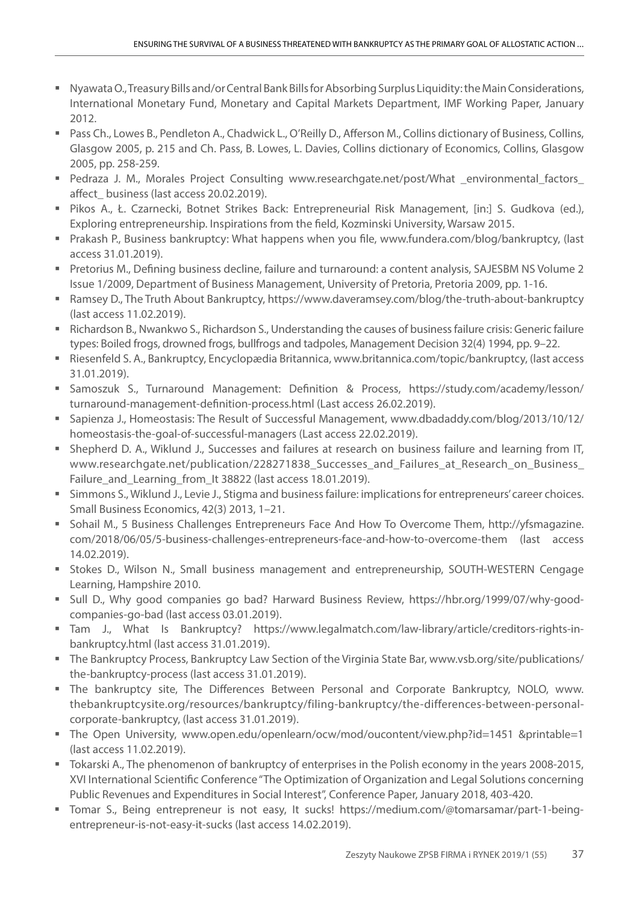- Nyawata O., Treasury Bills and/or Central Bank Bills for Absorbing Surplus Liquidity: the Main Considerations, International Monetary Fund, Monetary and Capital Markets Department, IMF Working Paper, January 2012.
- Pass Ch., Lowes B., Pendleton A., Chadwick L., O'Reilly D., Afferson M., Collins dictionary of Business, Collins, Glasgow 2005, p. 215 and Ch. Pass, B. Lowes, L. Davies, Collins dictionary of Economics, Collins, Glasgow 2005, pp. 258-259.
- Pedraza J. M., Morales Project Consulting www.researchgate.net/post/What \_environmental\_factors\_ affect business (last access 20.02.2019).
- Pikos A., Ł. Czarnecki, Botnet Strikes Back: Entrepreneurial Risk Management, [in:] S. Gudkova (ed.), Exploring entrepreneurship. Inspirations from the field, Kozminski University, Warsaw 2015.
- Prakash P., Business bankruptcy: What happens when you file, www.fundera.com/blog/bankruptcy, (last access 31.01.2019).
- Pretorius M., Defining business decline, failure and turnaround: a content analysis, SAJESBM NS Volume 2 Issue 1/2009, Department of Business Management, University of Pretoria, Pretoria 2009, pp. 1-16.
- Ramsey D., The Truth About Bankruptcy, https://www.daveramsey.com/blog/the-truth-about-bankruptcy (last access 11.02.2019).
- Richardson B., Nwankwo S., Richardson S., Understanding the causes of business failure crisis: Generic failure types: Boiled frogs, drowned frogs, bullfrogs and tadpoles, Management Decision 32(4) 1994, pp. 9–22.
- Riesenfeld S. A., Bankruptcy, Encyclopædia Britannica, www.britannica.com/topic/bankruptcy, (last access 31.01.2019).
- Samoszuk S., Turnaround Management: Definition & Process, https://study.com/academy/lesson/ turnaround-management-definition-process.html (Last access 26.02.2019).
- Sapienza J., Homeostasis: The Result of Successful Management, www.dbadaddy.com/blog/2013/10/12/ homeostasis-the-goal-of-successful-managers (Last access 22.02.2019).
- Shepherd D. A., Wiklund J., Successes and failures at research on business failure and learning from IT, www.researchgate.net/publication/228271838\_Successes\_and\_Failures\_at\_Research\_on\_Business\_ Failure\_and\_Learning\_from\_It 38822 (last access 18.01.2019).
- Simmons S., Wiklund J., Levie J., Stigma and business failure: implications for entrepreneurs' career choices. Small Business Economics, 42(3) 2013, 1–21.
- Sohail M., 5 Business Challenges Entrepreneurs Face And How To Overcome Them, http://yfsmagazine. com/2018/06/05/5-business-challenges-entrepreneurs-face-and-how-to-overcome-them (last access 14.02.2019).
- **Stokes D., Wilson N., Small business management and entrepreneurship, SOUTH-WESTERN Cengage** Learning, Hampshire 2010.
- Sull D., Why good companies go bad? Harward Business Review, https://hbr.org/1999/07/why-goodcompanies-go-bad (last access 03.01.2019).
- Tam J., What Is Bankruptcy? https://www.legalmatch.com/law-library/article/creditors-rights-inbankruptcy.html (last access 31.01.2019).
- The Bankruptcy Process, Bankruptcy Law Section of the Virginia State Bar, www.vsb.org/site/publications/ the-bankruptcy-process (last access 31.01.2019).
- The bankruptcy site, The Differences Between Personal and Corporate Bankruptcy, NOLO, www. thebankruptcysite.org/resources/bankruptcy/filing-bankruptcy/the-differences-between-personalcorporate-bankruptcy, (last access 31.01.2019).
- The Open University, www.open.edu/openlearn/ocw/mod/oucontent/view.php?id=1451 &printable=1 (last access 11.02.2019).
- Tokarski A., The phenomenon of bankruptcy of enterprises in the Polish economy in the years 2008-2015, XVI International Scientific Conference "The Optimization of Organization and Legal Solutions concerning Public Revenues and Expenditures in Social Interest", Conference Paper, January 2018, 403-420.
- Tomar S., Being entrepreneur is not easy, It sucks! https://medium.com/@tomarsamar/part-1-beingentrepreneur-is-not-easy-it-sucks (last access 14.02.2019).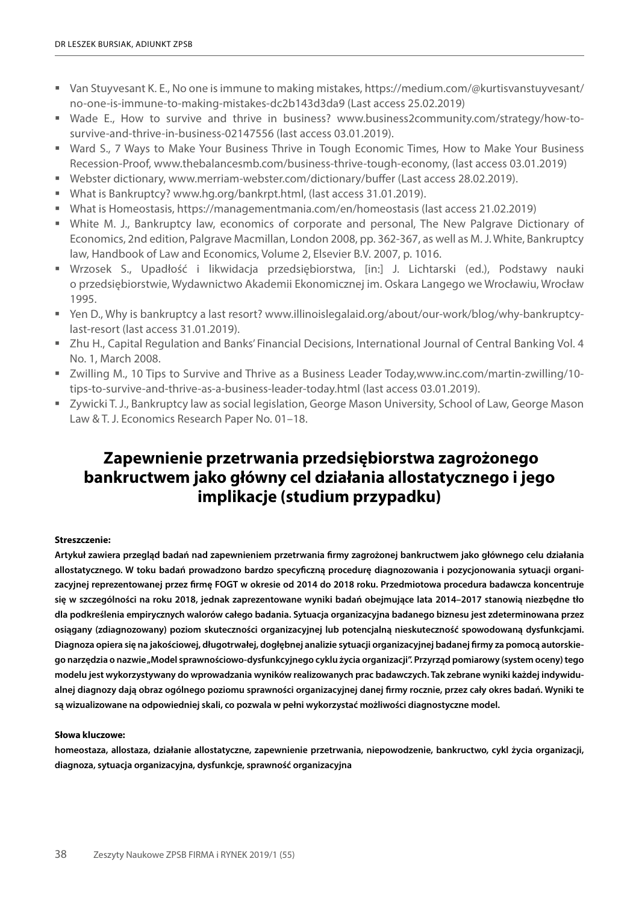- Van Stuyvesant K. E., No one is immune to making mistakes, https://medium.com/@kurtisvanstuyvesant/ no-one-is-immune-to-making-mistakes-dc2b143d3da9 (Last access 25.02.2019)
- Wade E., How to survive and thrive in business? www.business2community.com/strategy/how-tosurvive-and-thrive-in-business-02147556 (last access 03.01.2019).
- Ward S., 7 Ways to Make Your Business Thrive in Tough Economic Times, How to Make Your Business Recession-Proof, www.thebalancesmb.com/business-thrive-tough-economy, (last access 03.01.2019)
- Webster dictionary, www.merriam-webster.com/dictionary/buffer (Last access 28.02.2019).
- What is Bankruptcy? www.hg.org/bankrpt.html, (last access 31.01.2019).
- What is Homeostasis, https://managementmania.com/en/homeostasis (last access 21.02.2019)
- White M. J., Bankruptcy law, economics of corporate and personal, The New Palgrave Dictionary of Economics, 2nd edition, Palgrave Macmillan, London 2008, pp. 362-367, as well as M. J. White, Bankruptcy law, Handbook of Law and Economics, Volume 2, Elsevier B.V. 2007, p. 1016.
- Wrzosek S., Upadłość i likwidacja przedsiębiorstwa, [in:] J. Lichtarski (ed.), Podstawy nauki o przedsiębiorstwie, Wydawnictwo Akademii Ekonomicznej im. Oskara Langego we Wrocławiu, Wrocław 1995.
- Yen D., Why is bankruptcy a last resort? www.illinoislegalaid.org/about/our-work/blog/why-bankruptcylast-resort (last access 31.01.2019).
- Zhu H., Capital Regulation and Banks' Financial Decisions, International Journal of Central Banking Vol. 4 No. 1, March 2008.
- Zwilling M., 10 Tips to Survive and Thrive as a Business Leader Today,www.inc.com/martin-zwilling/10 tips-to-survive-and-thrive-as-a-business-leader-today.html (last access 03.01.2019).
- Zywicki T. J., Bankruptcy law as social legislation, George Mason University, School of Law, George Mason Law & T. J. Economics Research Paper No. 01–18.

# **Zapewnienie przetrwania przedsiębiorstwa zagrożonego bankructwem jako główny cel działania allostatycznego i jego implikacje (studium przypadku)**

#### **Streszczenie:**

**Artykuł zawiera przegląd badań nad zapewnieniem przetrwania firmy zagrożonej bankructwem jako głównego celu działania allostatycznego. W toku badań prowadzono bardzo specyficzną procedurę diagnozowania i pozycjonowania sytuacji organizacyjnej reprezentowanej przez firmę FOGT w okresie od 2014 do 2018 roku. Przedmiotowa procedura badawcza koncentruje się w szczególności na roku 2018, jednak zaprezentowane wyniki badań obejmujące lata 2014–2017 stanowią niezbędne tło dla podkreślenia empirycznych walorów całego badania. Sytuacja organizacyjna badanego biznesu jest zdeterminowana przez osiągany (zdiagnozowany) poziom skuteczności organizacyjnej lub potencjalną nieskuteczność spowodowaną dysfunkcjami. Diagnoza opiera się na jakościowej, długotrwałej, dogłębnej analizie sytuacji organizacyjnej badanej firmy za pomocą autorskiego narzędzia o nazwie "Model sprawnościowo-dysfunkcyjnego cyklu życia organizacji". Przyrząd pomiarowy (system oceny) tego modelu jest wykorzystywany do wprowadzania wyników realizowanych prac badawczych. Tak zebrane wyniki każdej indywidualnej diagnozy dają obraz ogólnego poziomu sprawności organizacyjnej danej firmy rocznie, przez cały okres badań. Wyniki te są wizualizowane na odpowiedniej skali, co pozwala w pełni wykorzystać możliwości diagnostyczne model.**

#### **Słowa kluczowe:**

**homeostaza, allostaza, działanie allostatyczne, zapewnienie przetrwania, niepowodzenie, bankructwo, cykl życia organizacji, diagnoza, sytuacja organizacyjna, dysfunkcje, sprawność organizacyjna**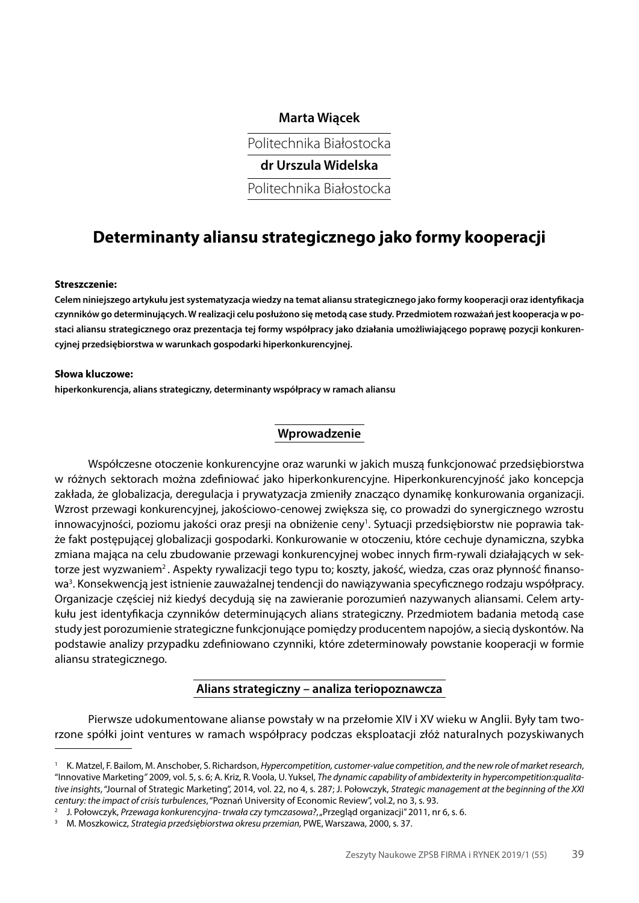## **Marta Wiącek**

Politechnika Białostocka

**dr Urszula Widelska**

Politechnika Białostocka

# **Determinanty aliansu strategicznego jako formy kooperacji**

#### **Streszczenie:**

**Celem niniejszego artykułu jest systematyzacja wiedzy na temat aliansu strategicznego jako formy kooperacji oraz identyfikacja czynników go determinujących. W realizacji celu posłużono się metodą case study. Przedmiotem rozważań jest kooperacja w postaci aliansu strategicznego oraz prezentacja tej formy współpracy jako działania umożliwiającego poprawę pozycji konkurencyjnej przedsiębiorstwa w warunkach gospodarki hiperkonkurencyjnej.**

#### **Słowa kluczowe:**

**hiperkonkurencja, alians strategiczny, determinanty współpracy w ramach aliansu**

#### **Wprowadzenie**

Współczesne otoczenie konkurencyjne oraz warunki w jakich muszą funkcjonować przedsiębiorstwa w różnych sektorach można zdefiniować jako hiperkonkurencyjne. Hiperkonkurencyjność jako koncepcja zakłada, że globalizacja, deregulacja i prywatyzacja zmieniły znacząco dynamikę konkurowania organizacji. Wzrost przewagi konkurencyjnej, jakościowo-cenowej zwiększa się, co prowadzi do synergicznego wzrostu innowacyjności, poziomu jakości oraz presji na obniżenie ceny<sup>1</sup>. Sytuacji przedsiębiorstw nie poprawia także fakt postępującej globalizacji gospodarki. Konkurowanie w otoczeniu, które cechuje dynamiczna, szybka zmiana mająca na celu zbudowanie przewagi konkurencyjnej wobec innych firm-rywali działających w sektorze jest wyzwaniem<sup>2</sup>. Aspekty rywalizacji tego typu to; koszty, jakość, wiedza, czas oraz płynność finansowa<sup>3</sup>. Konsekwencją jest istnienie zauważalnej tendencji do nawiązywania specyficznego rodzaju współpracy. Organizacje częściej niż kiedyś decydują się na zawieranie porozumień nazywanych aliansami. Celem artykułu jest identyfikacja czynników determinujących alians strategiczny. Przedmiotem badania metodą case study jest porozumienie strategiczne funkcjonujące pomiędzy producentem napojów, a siecią dyskontów. Na podstawie analizy przypadku zdefiniowano czynniki, które zdeterminowały powstanie kooperacji w formie aliansu strategicznego.

## **Alians strategiczny – analiza teriopoznawcza**

Pierwsze udokumentowane alianse powstały w na przełomie XIV i XV wieku w Anglii. Były tam tworzone spółki joint ventures w ramach współpracy podczas eksploatacji złóż naturalnych pozyskiwanych

<sup>1</sup> K. Matzel, F. Bailom, M. Anschober, S. Richardson, *Hypercompetition, customer-value competition, and the new role of market research*, "Innovative Marketing*"* 2009, vol. 5, s. 6; A. Kriz, R. Voola, U. Yuksel, *The dynamic capability of ambidexterity in hypercompetition:qualitative insights*, "Journal of Strategic Marketing", 2014, vol. 22, no 4, s. 287; J. Połowczyk, *Strategic management at the beginning of the XXI century: the impact of crisis turbulences*, "Poznań University of Economic Review", vol.2, no 3, s. 93.

<sup>2</sup> J. Połowczyk, *Przewaga konkurencyjna- trwała czy tymczasowa?*, "Przegląd organizacji" 2011, nr 6, s. 6.

<sup>3</sup> M. Moszkowicz, *Strategia przedsiębiorstwa okresu przemian,* PWE, Warszawa, 2000, s. 37.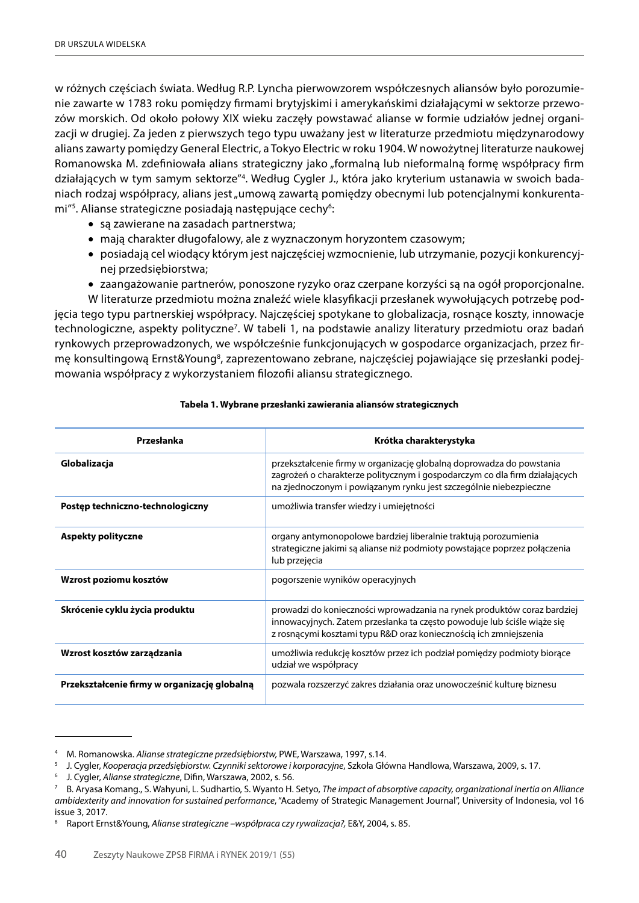w różnych częściach świata. Według R.P. Lyncha pierwowzorem współczesnych aliansów było porozumienie zawarte w 1783 roku pomiędzy firmami brytyjskimi i amerykańskimi działającymi w sektorze przewozów morskich. Od około połowy XIX wieku zaczęły powstawać alianse w formie udziałów jednej organizacji w drugiej. Za jeden z pierwszych tego typu uważany jest w literaturze przedmiotu międzynarodowy alians zawarty pomiędzy General Electric, a Tokyo Electric w roku 1904. W nowożytnej literaturze naukowej Romanowska M. zdefiniowała alians strategiczny jako "formalną lub nieformalną formę współpracy firm działających w tym samym sektorze"4 . Według Cygler J., która jako kryterium ustanawia w swoich badaniach rodzaj współpracy, alians jest "umową zawartą pomiedzy obecnymi lub potencjalnymi konkurentami"<sup>5</sup>. Alianse strategiczne posiadają następujące cechy<sup>6</sup>:

- są zawierane na zasadach partnerstwa;
- mają charakter długofalowy, ale z wyznaczonym horyzontem czasowym;
- • posiadają cel wiodący którym jest najczęściej wzmocnienie, lub utrzymanie, pozycji konkurencyjnej przedsiębiorstwa;
- • zaangażowanie partnerów, ponoszone ryzyko oraz czerpane korzyści są na ogół proporcjonalne.

W literaturze przedmiotu można znaleźć wiele klasyfikacji przesłanek wywołujących potrzebę podjęcia tego typu partnerskiej współpracy. Najczęściej spotykane to globalizacja, rosnące koszty, innowacje technologiczne, aspekty polityczne<sup>7</sup>. W tabeli 1, na podstawie analizy literatury przedmiotu oraz badań rynkowych przeprowadzonych, we współcześnie funkcjonujących w gospodarce organizacjach, przez firmę konsultingową Ernst&Young<sup>8</sup>, zaprezentowano zebrane, najczęściej pojawiające się przesłanki podejmowania współpracy z wykorzystaniem filozofii aliansu strategicznego.

| Przesłanka                                   | Krótka charakterystyka                                                                                                                                                                                                  |
|----------------------------------------------|-------------------------------------------------------------------------------------------------------------------------------------------------------------------------------------------------------------------------|
| Globalizacja                                 | przekształcenie firmy w organizację globalną doprowadza do powstania<br>zagrożeń o charakterze politycznym i gospodarczym co dla firm działających<br>na zjednoczonym i powiązanym rynku jest szczególnie niebezpieczne |
| Postęp techniczno-technologiczny             | umożliwia transfer wiedzy i umiejętności                                                                                                                                                                                |
| Aspekty polityczne                           | organy antymonopolowe bardziej liberalnie traktują porozumienia<br>strategiczne jakimi są alianse niż podmioty powstające poprzez połączenia<br>lub przejęcia                                                           |
| Wzrost poziomu kosztów                       | pogorszenie wyników operacyjnych                                                                                                                                                                                        |
| Skrócenie cyklu życia produktu               | prowadzi do konieczności wprowadzania na rynek produktów coraz bardziej<br>innowacyjnych. Zatem przesłanka ta często powoduje lub ściśle wiąże się<br>z rosnącymi kosztami typu R&D oraz koniecznością ich zmniejszenia |
| Wzrost kosztów zarządzania                   | umożliwia redukcję kosztów przez ich podział pomiędzy podmioty biorące<br>udział we współpracy                                                                                                                          |
| Przekształcenie firmy w organizację globalną | pozwala rozszerzyć zakres działania oraz unowocześnić kulturę biznesu                                                                                                                                                   |

#### **Tabela 1. Wybrane przesłanki zawierania aliansów strategicznych**

<sup>4</sup> M. Romanowska. *Alianse strategiczne przedsiębiorstw,* PWE, Warszawa, 1997, s.14.

<sup>5</sup> J. Cygler, *Kooperacja przedsiębiorstw. Czynniki sektorowe i korporacyjne*, Szkoła Główna Handlowa, Warszawa, 2009, s. 17. 6 J. Cygler, *Alianse strategiczne*, Difin, Warszawa, 2002, s. 56.

<sup>7</sup> B. Aryasa Komang., S. Wahyuni, L. Sudhartio, S. Wyanto H. Setyo, *The impact of absorptive capacity, organizational inertia on Alliance ambidexterity and innovation for sustained performance*, "Academy of Strategic Management Journal", University of Indonesia, vol 16 issue 3, 2017.

<sup>8</sup> Raport Ernst&Young, *Alianse strategiczne –współpraca czy rywalizacja?,* E&Y, 2004, s. 85.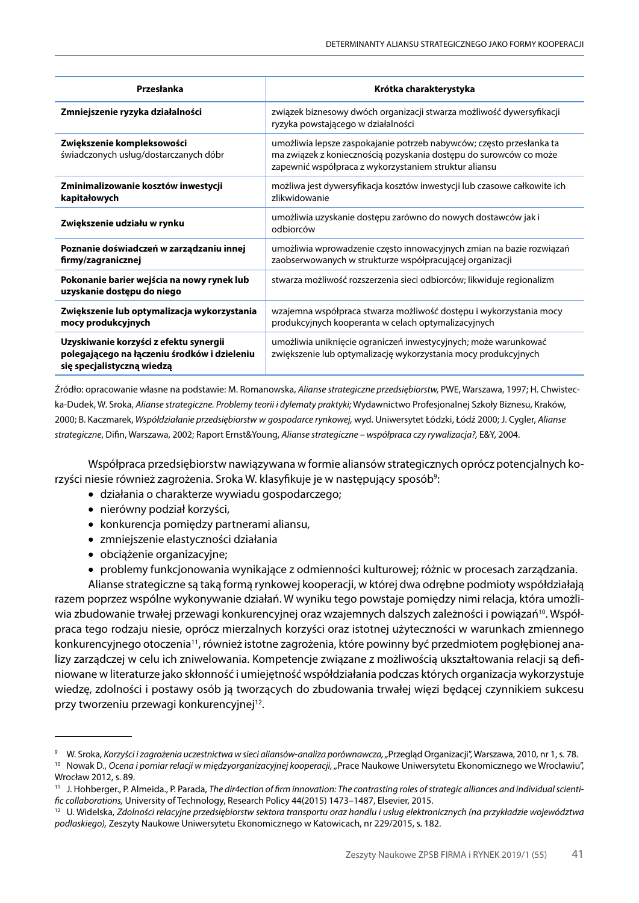| Przesłanka                                                                                                           | Krótka charakterystyka                                                                                                                                                                             |
|----------------------------------------------------------------------------------------------------------------------|----------------------------------------------------------------------------------------------------------------------------------------------------------------------------------------------------|
| Zmniejszenie ryzyka działalności                                                                                     | związek biznesowy dwóch organizacji stwarza możliwość dywersyfikacji<br>ryzyka powstającego w działalności                                                                                         |
| Zwiększenie kompleksowości<br>świadczonych usług/dostarczanych dóbr                                                  | umożliwia lepsze zaspokajanie potrzeb nabywców; często przesłanka ta<br>ma związek z koniecznością pozyskania dostępu do surowców co może<br>zapewnić współpraca z wykorzystaniem struktur aliansu |
| Zminimalizowanie kosztów inwestycji<br>kapitałowych                                                                  | możliwa jest dywersyfikacja kosztów inwestycji lub czasowe całkowite ich<br>zlikwidowanie                                                                                                          |
| Zwiększenie udziału w rynku                                                                                          | umożliwia uzyskanie dostępu zarówno do nowych dostawców jak i<br>odbiorców                                                                                                                         |
| Poznanie doświadczeń w zarządzaniu innej<br>firmy/zagranicznej                                                       | umożliwia wprowadzenie często innowacyjnych zmian na bazie rozwiązań<br>zaobserwowanych w strukturze współpracującej organizacji                                                                   |
| Pokonanie barier wejścia na nowy rynek lub<br>uzyskanie dostępu do niego                                             | stwarza możliwość rozszerzenia sieci odbiorców; likwiduje regionalizm                                                                                                                              |
| Zwiększenie lub optymalizacja wykorzystania<br>mocy produkcyjnych                                                    | wzajemna współpraca stwarza możliwość dostępu i wykorzystania mocy<br>produkcyjnych kooperanta w celach optymalizacyjnych                                                                          |
| Uzyskiwanie korzyści z efektu synergii<br>polegającego na łączeniu środków i dzieleniu<br>się specjalistyczną wiedzą | umożliwia uniknięcie ograniczeń inwestycyjnych; może warunkować<br>zwiększenie lub optymalizację wykorzystania mocy produkcyjnych                                                                  |

Źródło: opracowanie własne na podstawie: M. Romanowska, *Alianse strategiczne przedsiębiorstw,* PWE, Warszawa, 1997; H. Chwistecka-Dudek, W. Sroka, *Alianse strategiczne. Problemy teorii i dylematy praktyki;* Wydawnictwo Profesjonalnej Szkoły Biznesu, Kraków, 2000; B. Kaczmarek, *Współdziałanie przedsiębiorstw w gospodarce rynkowej,* wyd. Uniwersytet Łódzki, Łódź 2000; J. Cygler, *Alianse strategiczne*, Difin, Warszawa, 2002; Raport Ernst&Young, *Alianse strategiczne – współpraca czy rywalizacja?,* E&Y, 2004.

Współpraca przedsiębiorstw nawiązywana w formie aliansów strategicznych oprócz potencjalnych korzyści niesie również zagrożenia. Sroka W. klasyfikuje je w następujący sposób<sup>9</sup>:

- • działania o charakterze wywiadu gospodarczego;
- • nierówny podział korzyści,
- konkurencja pomiędzy partnerami aliansu,
- • zmniejszenie elastyczności działania
- • obciążenie organizacyjne;
- • problemy funkcjonowania wynikające z odmienności kulturowej; różnic w procesach zarządzania.

Alianse strategiczne są taką formą rynkowej kooperacji, w której dwa odrębne podmioty współdziałają razem poprzez wspólne wykonywanie działań. W wyniku tego powstaje pomiędzy nimi relacja, która umożliwia zbudowanie trwałej przewagi konkurencyjnej oraz wzajemnych dalszych zależności i powiązań<sup>10</sup>. Współpraca tego rodzaju niesie, oprócz mierzalnych korzyści oraz istotnej użyteczności w warunkach zmiennego konkurencyjnego otoczenia<sup>11</sup>, również istotne zagrożenia, które powinny być przedmiotem pogłębionej analizy zarządczej w celu ich zniwelowania. Kompetencje związane z możliwością ukształtowania relacji są definiowane w literaturze jako skłonność i umiejętność współdziałania podczas których organizacja wykorzystuje wiedzę, zdolności i postawy osób ją tworzących do zbudowania trwałej więzi będącej czynnikiem sukcesu przy tworzeniu przewagi konkurencyjnej<sup>12</sup>.

<sup>9</sup> W. Sroka, *Korzyści i zagrożenia uczestnictwa w sieci aliansów-analiza porównawcza, "*Przegląd Organizacji", Warszawa, 2010, nr 1, s. 78.

<sup>&</sup>lt;sup>10</sup> Nowak D., *Ocena i pomiar relacji w międzyorganizacyjnej kooperacji, "Prace Naukowe Uniwersytetu Ekonomicznego we Wrocławiu",* Wrocław 2012 s. 89.

<sup>11</sup> J. Hohberger., P. Almeida., P. Parada, *The dir4ection of firm innovation: The contrasting roles of strategic alliances and individual scientific collaborations,* University of Technology, Research Policy 44(2015) 1473–1487, Elsevier, 2015.

<sup>12</sup> U. Widelska, *Zdolności relacyjne przedsiębiorstw sektora transportu oraz handlu i usług elektronicznych (na przykładzie województwa podlaskiego),* Zeszyty Naukowe Uniwersytetu Ekonomicznego w Katowicach, nr 229/2015, s. 182.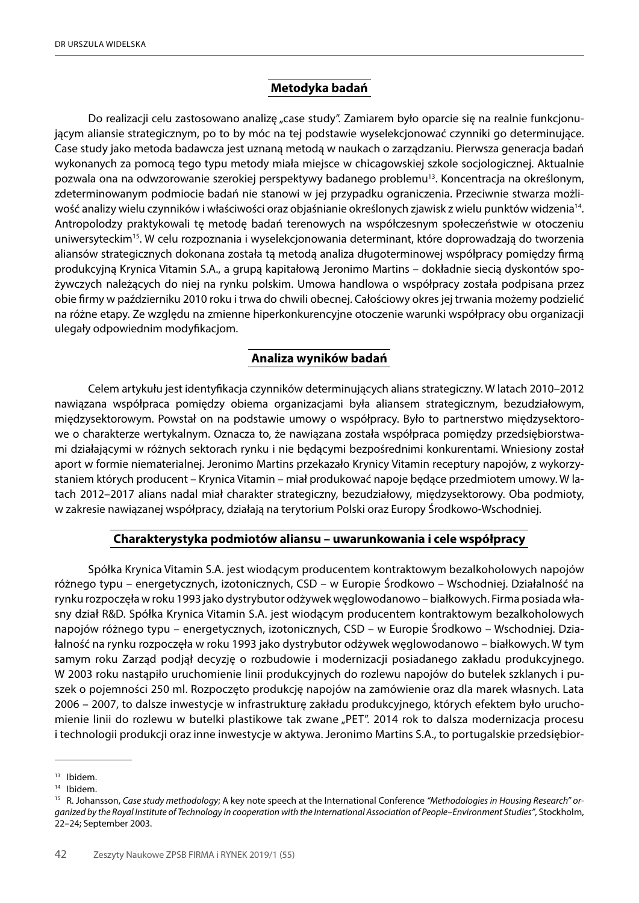## **Metodyka badań**

Do realizacji celu zastosowano analizę "case study". Zamiarem było oparcie się na realnie funkcjonującym aliansie strategicznym, po to by móc na tej podstawie wyselekcjonować czynniki go determinujące. Case study jako metoda badawcza jest uznaną metodą w naukach o zarządzaniu. Pierwsza generacja badań wykonanych za pomocą tego typu metody miała miejsce w chicagowskiej szkole socjologicznej. Aktualnie pozwala ona na odwzorowanie szerokiej perspektywy badanego problemu13. Koncentracja na określonym, zdeterminowanym podmiocie badań nie stanowi w jej przypadku ograniczenia. Przeciwnie stwarza możliwość analizy wielu czynników i właściwości oraz objaśnianie określonych zjawisk z wielu punktów widzenia14. Antropolodzy praktykowali tę metodę badań terenowych na współczesnym społeczeństwie w otoczeniu uniwersyteckim15. W celu rozpoznania i wyselekcjonowania determinant, które doprowadzają do tworzenia aliansów strategicznych dokonana została tą metodą analiza długoterminowej współpracy pomiędzy firmą produkcyjną Krynica Vitamin S.A., a grupą kapitałową Jeronimo Martins – dokładnie siecią dyskontów spożywczych należących do niej na rynku polskim. Umowa handlowa o współpracy została podpisana przez obie firmy w październiku 2010 roku i trwa do chwili obecnej. Całościowy okres jej trwania możemy podzielić na różne etapy. Ze względu na zmienne hiperkonkurencyjne otoczenie warunki współpracy obu organizacji ulegały odpowiednim modyfikacjom.

## **Analiza wyników badań**

Celem artykułu jest identyfikacja czynników determinujących alians strategiczny. W latach 2010–2012 nawiązana współpraca pomiędzy obiema organizacjami była aliansem strategicznym, bezudziałowym, międzysektorowym. Powstał on na podstawie umowy o współpracy. Było to partnerstwo międzysektorowe o charakterze wertykalnym. Oznacza to, że nawiązana została współpraca pomiędzy przedsiębiorstwami działającymi w różnych sektorach rynku i nie będącymi bezpośrednimi konkurentami. Wniesiony został aport w formie niematerialnej. Jeronimo Martins przekazało Krynicy Vitamin receptury napojów, z wykorzystaniem których producent – Krynica Vitamin – miał produkować napoje będące przedmiotem umowy. W latach 2012–2017 alians nadal miał charakter strategiczny, bezudziałowy, międzysektorowy. Oba podmioty, w zakresie nawiązanej współpracy, działają na terytorium Polski oraz Europy Środkowo-Wschodniej.

# **Charakterystyka podmiotów aliansu – uwarunkowania i cele współpracy**

Spółka Krynica Vitamin S.A. jest wiodącym producentem kontraktowym bezalkoholowych napojów różnego typu – energetycznych, izotonicznych, CSD – w Europie Środkowo – Wschodniej. Działalność na rynku rozpoczęła w roku 1993 jako dystrybutor odżywek węglowodanowo – białkowych. Firma posiada własny dział R&D. Spółka Krynica Vitamin S.A. jest wiodącym producentem kontraktowym bezalkoholowych napojów różnego typu – energetycznych, izotonicznych, CSD – w Europie Środkowo – Wschodniej. Działalność na rynku rozpoczęła w roku 1993 jako dystrybutor odżywek węglowodanowo – białkowych. W tym samym roku Zarząd podjął decyzję o rozbudowie i modernizacji posiadanego zakładu produkcyjnego. W 2003 roku nastąpiło uruchomienie linii produkcyjnych do rozlewu napojów do butelek szklanych i puszek o pojemności 250 ml. Rozpoczęto produkcję napojów na zamówienie oraz dla marek własnych. Lata 2006 – 2007, to dalsze inwestycje w infrastrukturę zakładu produkcyjnego, których efektem było uruchomienie linii do rozlewu w butelki plastikowe tak zwane "PET". 2014 rok to dalsza modernizacja procesu i technologii produkcji oraz inne inwestycje w aktywa. Jeronimo Martins S.A., to portugalskie przedsiębior-

<sup>13</sup> Ibidem.

<sup>14</sup> Ibidem.

<sup>15</sup> R. Johansson, *Case study methodology*; A key note speech at the International Conference *"Methodologies in Housing Research" organized by the Royal Institute of Technology in cooperation with the International Association of People–Environment Studies"*, Stockholm, 22–24; September 2003.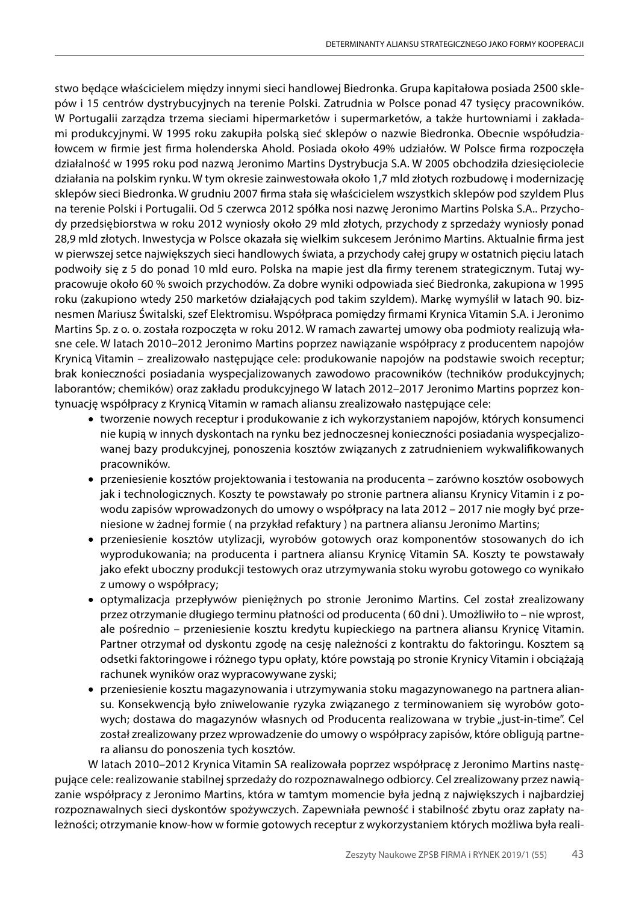stwo będące właścicielem między innymi sieci handlowej Biedronka. Grupa kapitałowa posiada 2500 sklepów i 15 centrów dystrybucyjnych na terenie Polski. Zatrudnia w Polsce ponad 47 tysięcy pracowników. W Portugalii zarządza trzema sieciami hipermarketów i supermarketów, a także hurtowniami i zakładami produkcyjnymi. W 1995 roku zakupiła polską sieć sklepów o nazwie Biedronka. Obecnie współudziałowcem w firmie jest firma holenderska Ahold. Posiada około 49% udziałów. W Polsce firma rozpoczęła działalność w 1995 roku pod nazwą Jeronimo Martins Dystrybucja S.A. W 2005 obchodziła dziesięciolecie działania na polskim rynku. W tym okresie zainwestowała około 1,7 mld złotych rozbudowę i modernizację sklepów sieci Biedronka. W grudniu 2007 firma stała się właścicielem wszystkich sklepów pod szyldem Plus na terenie Polski i Portugalii. Od 5 czerwca 2012 spółka nosi nazwę Jeronimo Martins Polska S.A.. Przychody przedsiębiorstwa w roku 2012 wyniosły około 29 mld złotych, przychody z sprzedaży wyniosły ponad 28,9 mld złotych. Inwestycja w Polsce okazała się wielkim sukcesem Jerónimo Martins. Aktualnie firma jest w pierwszej setce największych sieci handlowych świata, a przychody całej grupy w ostatnich pięciu latach podwoiły się z 5 do ponad 10 mld euro. Polska na mapie jest dla firmy terenem strategicznym. Tutaj wypracowuje około 60 % swoich przychodów. Za dobre wyniki odpowiada sieć Biedronka, zakupiona w 1995 roku (zakupiono wtedy 250 marketów działających pod takim szyldem). Markę wymyślił w latach 90. biznesmen Mariusz Świtalski, szef Elektromisu. Współpraca pomiędzy firmami Krynica Vitamin S.A. i Jeronimo Martins Sp. z o. o. została rozpoczęta w roku 2012. W ramach zawartej umowy oba podmioty realizują własne cele. W latach 2010–2012 Jeronimo Martins poprzez nawiązanie współpracy z producentem napojów Krynicą Vitamin – zrealizowało następujące cele: produkowanie napojów na podstawie swoich receptur; brak konieczności posiadania wyspecjalizowanych zawodowo pracowników (techników produkcyjnych; laborantów; chemików) oraz zakładu produkcyjnego W latach 2012–2017 Jeronimo Martins poprzez kontynuację współpracy z Krynicą Vitamin w ramach aliansu zrealizowało następujące cele:

- tworzenie nowych receptur i produkowanie z ich wykorzystaniem napojów, których konsumenci nie kupią w innych dyskontach na rynku bez jednoczesnej konieczności posiadania wyspecjalizowanej bazy produkcyjnej, ponoszenia kosztów związanych z zatrudnieniem wykwalifikowanych pracowników.
- • przeniesienie kosztów projektowania i testowania na producenta zarówno kosztów osobowych jak i technologicznych. Koszty te powstawały po stronie partnera aliansu Krynicy Vitamin i z powodu zapisów wprowadzonych do umowy o współpracy na lata 2012 – 2017 nie mogły być przeniesione w żadnej formie ( na przykład refaktury ) na partnera aliansu Jeronimo Martins;
- • przeniesienie kosztów utylizacji, wyrobów gotowych oraz komponentów stosowanych do ich wyprodukowania; na producenta i partnera aliansu Krynicę Vitamin SA. Koszty te powstawały jako efekt uboczny produkcji testowych oraz utrzymywania stoku wyrobu gotowego co wynikało z umowy o współpracy;
- • optymalizacja przepływów pieniężnych po stronie Jeronimo Martins. Cel został zrealizowany przez otrzymanie długiego terminu płatności od producenta ( 60 dni ). Umożliwiło to – nie wprost, ale pośrednio – przeniesienie kosztu kredytu kupieckiego na partnera aliansu Krynicę Vitamin. Partner otrzymał od dyskontu zgodę na cesję należności z kontraktu do faktoringu. Kosztem są odsetki faktoringowe i różnego typu opłaty, które powstają po stronie Krynicy Vitamin i obciążają rachunek wyników oraz wypracowywane zyski;
- • przeniesienie kosztu magazynowania i utrzymywania stoku magazynowanego na partnera aliansu. Konsekwencją było zniwelowanie ryzyka związanego z terminowaniem się wyrobów gotowych; dostawa do magazynów własnych od Producenta realizowana w trybie "just-in-time". Cel został zrealizowany przez wprowadzenie do umowy o współpracy zapisów, które obligują partnera aliansu do ponoszenia tych kosztów.

W latach 2010–2012 Krynica Vitamin SA realizowała poprzez współpracę z Jeronimo Martins następujące cele: realizowanie stabilnej sprzedaży do rozpoznawalnego odbiorcy. Cel zrealizowany przez nawiązanie współpracy z Jeronimo Martins, która w tamtym momencie była jedną z największych i najbardziej rozpoznawalnych sieci dyskontów spożywczych. Zapewniała pewność i stabilność zbytu oraz zapłaty należności; otrzymanie know-how w formie gotowych receptur z wykorzystaniem których możliwa była reali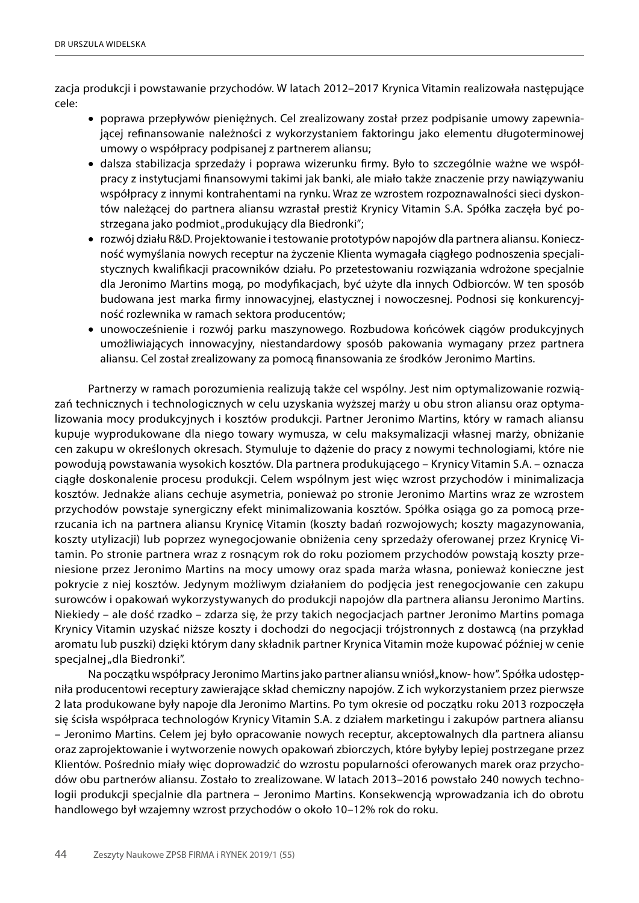zacja produkcji i powstawanie przychodów. W latach 2012–2017 Krynica Vitamin realizowała następujące cele:

- • poprawa przepływów pieniężnych. Cel zrealizowany został przez podpisanie umowy zapewniającej refinansowanie należności z wykorzystaniem faktoringu jako elementu długoterminowej umowy o współpracy podpisanej z partnerem aliansu;
- • dalsza stabilizacja sprzedaży i poprawa wizerunku firmy. Było to szczególnie ważne we współpracy z instytucjami finansowymi takimi jak banki, ale miało także znaczenie przy nawiązywaniu współpracy z innymi kontrahentami na rynku. Wraz ze wzrostem rozpoznawalności sieci dyskontów należącej do partnera aliansu wzrastał prestiż Krynicy Vitamin S.A. Spółka zaczęła być postrzegana jako podmiot "produkujący dla Biedronki";
- • rozwój działu R&D. Projektowanie i testowanie prototypów napojów dla partnera aliansu. Konieczność wymyślania nowych receptur na życzenie Klienta wymagała ciągłego podnoszenia specjalistycznych kwalifikacji pracowników działu. Po przetestowaniu rozwiązania wdrożone specjalnie dla Jeronimo Martins mogą, po modyfikacjach, być użyte dla innych Odbiorców. W ten sposób budowana jest marka firmy innowacyjnej, elastycznej i nowoczesnej. Podnosi się konkurencyjność rozlewnika w ramach sektora producentów;
- • unowocześnienie i rozwój parku maszynowego. Rozbudowa końcówek ciągów produkcyjnych umożliwiających innowacyjny, niestandardowy sposób pakowania wymagany przez partnera aliansu. Cel został zrealizowany za pomocą finansowania ze środków Jeronimo Martins.

Partnerzy w ramach porozumienia realizują także cel wspólny. Jest nim optymalizowanie rozwiązań technicznych i technologicznych w celu uzyskania wyższej marży u obu stron aliansu oraz optymalizowania mocy produkcyjnych i kosztów produkcji. Partner Jeronimo Martins, który w ramach aliansu kupuje wyprodukowane dla niego towary wymusza, w celu maksymalizacji własnej marży, obniżanie cen zakupu w określonych okresach. Stymuluje to dążenie do pracy z nowymi technologiami, które nie powodują powstawania wysokich kosztów. Dla partnera produkującego – Krynicy Vitamin S.A. – oznacza ciągłe doskonalenie procesu produkcji. Celem wspólnym jest więc wzrost przychodów i minimalizacja kosztów. Jednakże alians cechuje asymetria, ponieważ po stronie Jeronimo Martins wraz ze wzrostem przychodów powstaje synergiczny efekt minimalizowania kosztów. Spółka osiąga go za pomocą przerzucania ich na partnera aliansu Krynicę Vitamin (koszty badań rozwojowych; koszty magazynowania, koszty utylizacji) lub poprzez wynegocjowanie obniżenia ceny sprzedaży oferowanej przez Krynicę Vitamin. Po stronie partnera wraz z rosnącym rok do roku poziomem przychodów powstają koszty przeniesione przez Jeronimo Martins na mocy umowy oraz spada marża własna, ponieważ konieczne jest pokrycie z niej kosztów. Jedynym możliwym działaniem do podjęcia jest renegocjowanie cen zakupu surowców i opakowań wykorzystywanych do produkcji napojów dla partnera aliansu Jeronimo Martins. Niekiedy – ale dość rzadko – zdarza się, że przy takich negocjacjach partner Jeronimo Martins pomaga Krynicy Vitamin uzyskać niższe koszty i dochodzi do negocjacji trójstronnych z dostawcą (na przykład aromatu lub puszki) dzięki którym dany składnik partner Krynica Vitamin może kupować później w cenie specjalnej "dla Biedronki".

Na początku współpracy Jeronimo Martins jako partner aliansu wniósł "know- how". Spółka udostępniła producentowi receptury zawierające skład chemiczny napojów. Z ich wykorzystaniem przez pierwsze 2 lata produkowane były napoje dla Jeronimo Martins. Po tym okresie od początku roku 2013 rozpoczęła się ścisła współpraca technologów Krynicy Vitamin S.A. z działem marketingu i zakupów partnera aliansu – Jeronimo Martins. Celem jej było opracowanie nowych receptur, akceptowalnych dla partnera aliansu oraz zaprojektowanie i wytworzenie nowych opakowań zbiorczych, które byłyby lepiej postrzegane przez Klientów. Pośrednio miały więc doprowadzić do wzrostu popularności oferowanych marek oraz przychodów obu partnerów aliansu. Zostało to zrealizowane. W latach 2013–2016 powstało 240 nowych technologii produkcji specjalnie dla partnera – Jeronimo Martins. Konsekwencją wprowadzania ich do obrotu handlowego był wzajemny wzrost przychodów o około 10–12% rok do roku.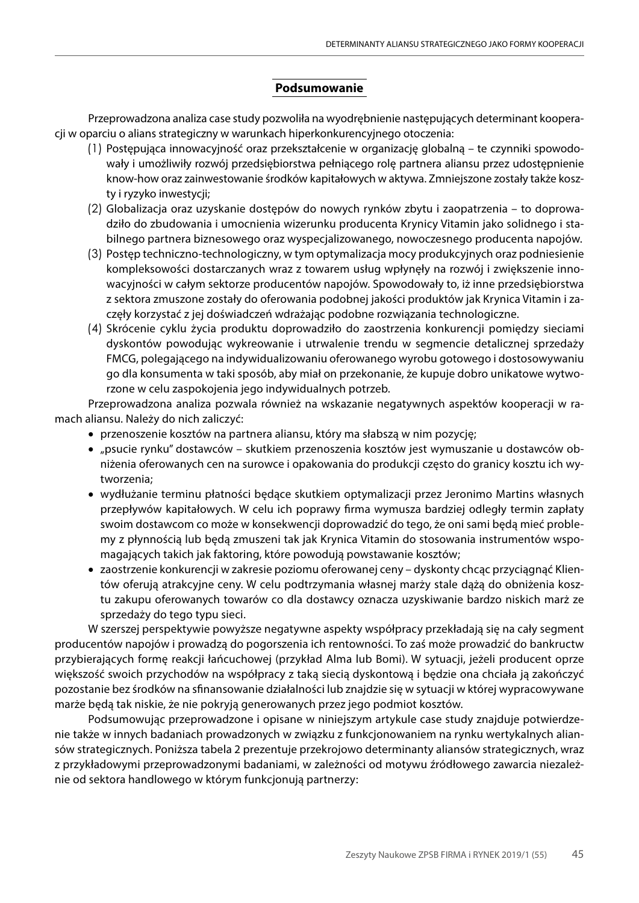# **Podsumowanie**

Przeprowadzona analiza case study pozwoliła na wyodrębnienie następujących determinant kooperacji w oparciu o alians strategiczny w warunkach hiperkonkurencyjnego otoczenia:

- (1) Postępująca innowacyjność oraz przekształcenie w organizację globalną te czynniki spowodowały i umożliwiły rozwój przedsiębiorstwa pełniącego rolę partnera aliansu przez udostępnienie know-how oraz zainwestowanie środków kapitałowych w aktywa. Zmniejszone zostały także koszty i ryzyko inwestycji;
- (2) Globalizacja oraz uzyskanie dostępów do nowych rynków zbytu i zaopatrzenia to doprowadziło do zbudowania i umocnienia wizerunku producenta Krynicy Vitamin jako solidnego i stabilnego partnera biznesowego oraz wyspecjalizowanego, nowoczesnego producenta napojów.
- (3) Postęp techniczno-technologiczny, w tym optymalizacja mocy produkcyjnych oraz podniesienie kompleksowości dostarczanych wraz z towarem usług wpłynęły na rozwój i zwiększenie innowacyjności w całym sektorze producentów napojów. Spowodowały to, iż inne przedsiębiorstwa z sektora zmuszone zostały do oferowania podobnej jakości produktów jak Krynica Vitamin i zaczęły korzystać z jej doświadczeń wdrażając podobne rozwiązania technologiczne.
- (4) Skrócenie cyklu życia produktu doprowadziło do zaostrzenia konkurencji pomiędzy sieciami dyskontów powodując wykreowanie i utrwalenie trendu w segmencie detalicznej sprzedaży FMCG, polegającego na indywidualizowaniu oferowanego wyrobu gotowego i dostosowywaniu go dla konsumenta w taki sposób, aby miał on przekonanie, że kupuje dobro unikatowe wytworzone w celu zaspokojenia jego indywidualnych potrzeb.

Przeprowadzona analiza pozwala również na wskazanie negatywnych aspektów kooperacji w ramach aliansu. Należy do nich zaliczyć:

- przenoszenie kosztów na partnera aliansu, który ma słabszą w nim pozycję;
- • "psucie rynku" dostawców skutkiem przenoszenia kosztów jest wymuszanie u dostawców obniżenia oferowanych cen na surowce i opakowania do produkcji często do granicy kosztu ich wytworzenia;
- • wydłużanie terminu płatności będące skutkiem optymalizacji przez Jeronimo Martins własnych przepływów kapitałowych. W celu ich poprawy firma wymusza bardziej odległy termin zapłaty swoim dostawcom co może w konsekwencji doprowadzić do tego, że oni sami będą mieć problemy z płynnością lub będą zmuszeni tak jak Krynica Vitamin do stosowania instrumentów wspomagających takich jak faktoring, które powodują powstawanie kosztów;
- • zaostrzenie konkurencji w zakresie poziomu oferowanej ceny dyskonty chcąc przyciągnąć Klientów oferują atrakcyjne ceny. W celu podtrzymania własnej marży stale dążą do obniżenia kosztu zakupu oferowanych towarów co dla dostawcy oznacza uzyskiwanie bardzo niskich marż ze sprzedaży do tego typu sieci.

W szerszej perspektywie powyższe negatywne aspekty współpracy przekładają się na cały segment producentów napojów i prowadzą do pogorszenia ich rentowności. To zaś może prowadzić do bankructw przybierających formę reakcji łańcuchowej (przykład Alma lub Bomi). W sytuacji, jeżeli producent oprze większość swoich przychodów na współpracy z taką siecią dyskontową i będzie ona chciała ją zakończyć pozostanie bez środków na sfinansowanie działalności lub znajdzie się w sytuacji w której wypracowywane marże będą tak niskie, że nie pokryją generowanych przez jego podmiot kosztów.

Podsumowując przeprowadzone i opisane w niniejszym artykule case study znajduje potwierdzenie także w innych badaniach prowadzonych w związku z funkcjonowaniem na rynku wertykalnych aliansów strategicznych. Poniższa tabela 2 prezentuje przekrojowo determinanty aliansów strategicznych, wraz z przykładowymi przeprowadzonymi badaniami, w zależności od motywu źródłowego zawarcia niezależnie od sektora handlowego w którym funkcjonują partnerzy: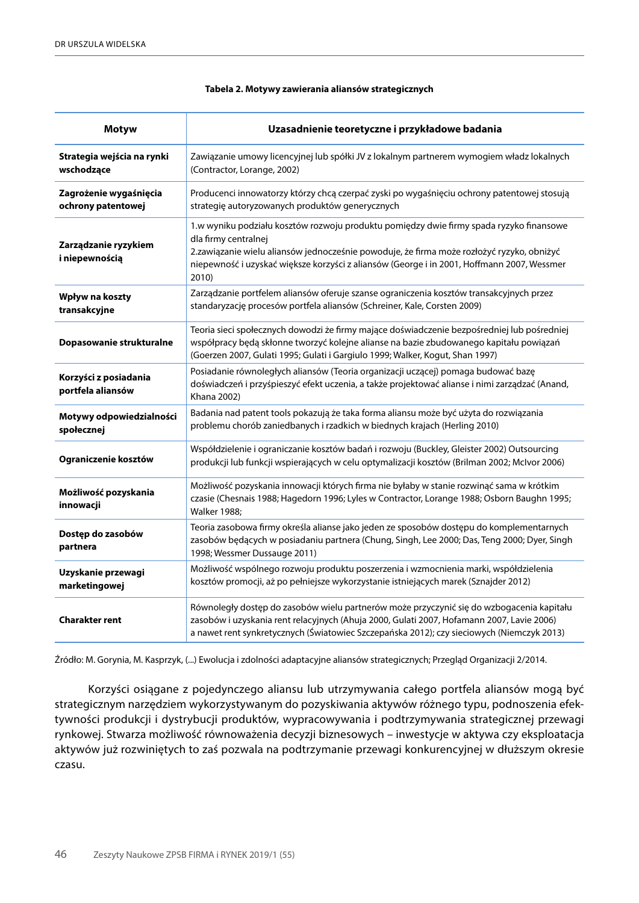| <b>Motyw</b>                                 | Uzasadnienie teoretyczne i przykładowe badania                                                                                                                                                                                                                                                                      |
|----------------------------------------------|---------------------------------------------------------------------------------------------------------------------------------------------------------------------------------------------------------------------------------------------------------------------------------------------------------------------|
| Strategia wejścia na rynki<br>wschodzące     | Zawiązanie umowy licencyjnej lub spółki JV z lokalnym partnerem wymogiem władz lokalnych<br>(Contractor, Lorange, 2002)                                                                                                                                                                                             |
| Zagrożenie wygaśnięcia<br>ochrony patentowej | Producenci innowatorzy którzy chcą czerpać zyski po wygaśnięciu ochrony patentowej stosują<br>strategię autoryzowanych produktów generycznych                                                                                                                                                                       |
| Zarządzanie ryzykiem<br>i niepewnością       | 1.w wyniku podziału kosztów rozwoju produktu pomiędzy dwie firmy spada ryzyko finansowe<br>dla firmy centralnej<br>2.zawiązanie wielu aliansów jednocześnie powoduje, że firma może rozłożyć ryzyko, obniżyć<br>niepewność i uzyskać większe korzyści z aliansów (George i in 2001, Hoffmann 2007, Wessmer<br>2010) |
| Wpływ na koszty<br>transakcyjne              | Zarządzanie portfelem aliansów oferuje szanse ograniczenia kosztów transakcyjnych przez<br>standaryzację procesów portfela aliansów (Schreiner, Kale, Corsten 2009)                                                                                                                                                 |
| Dopasowanie strukturalne                     | Teoria sieci społecznych dowodzi że firmy mające doświadczenie bezpośredniej lub pośredniej<br>współpracy będą skłonne tworzyć kolejne alianse na bazie zbudowanego kapitału powiązań<br>(Goerzen 2007, Gulati 1995; Gulati i Gargiulo 1999; Walker, Kogut, Shan 1997)                                              |
| Korzyści z posiadania<br>portfela aliansów   | Posiadanie równoległych aliansów (Teoria organizacji uczącej) pomaga budować bazę<br>doświadczeń i przyśpieszyć efekt uczenia, a także projektować alianse i nimi zarządzać (Anand,<br><b>Khana 2002)</b>                                                                                                           |
| Motywy odpowiedzialności<br>społecznej       | Badania nad patent tools pokazują że taka forma aliansu może być użyta do rozwiązania<br>problemu chorób zaniedbanych i rzadkich w biednych krajach (Herling 2010)                                                                                                                                                  |
| Ograniczenie kosztów                         | Współdzielenie i ograniczanie kosztów badań i rozwoju (Buckley, Gleister 2002) Outsourcing<br>produkcji lub funkcji wspierających w celu optymalizacji kosztów (Brilman 2002; McIvor 2006)                                                                                                                          |
| Możliwość pozyskania<br>innowacji            | Możliwość pozyskania innowacji których firma nie byłaby w stanie rozwinąć sama w krótkim<br>czasie (Chesnais 1988; Hagedorn 1996; Lyles w Contractor, Lorange 1988; Osborn Baughn 1995;<br><b>Walker 1988;</b>                                                                                                      |
| Dostęp do zasobów<br>partnera                | Teoria zasobowa firmy określa alianse jako jeden ze sposobów dostępu do komplementarnych<br>zasobów będących w posiadaniu partnera (Chung, Singh, Lee 2000; Das, Teng 2000; Dyer, Singh<br>1998; Wessmer Dussauge 2011)                                                                                             |
| Uzyskanie przewagi<br>marketingowej          | Możliwość wspólnego rozwoju produktu poszerzenia i wzmocnienia marki, współdzielenia<br>kosztów promocji, aż po pełniejsze wykorzystanie istniejących marek (Sznajder 2012)                                                                                                                                         |
| <b>Charakter rent</b>                        | Równoległy dostęp do zasobów wielu partnerów może przyczynić się do wzbogacenia kapitału<br>zasobów i uzyskania rent relacyjnych (Ahuja 2000, Gulati 2007, Hofamann 2007, Lavie 2006)<br>a nawet rent synkretycznych (Światowiec Szczepańska 2012); czy sieciowych (Niemczyk 2013)                                  |

#### **Tabela 2. Motywy zawierania aliansów strategicznych**

Źródło: M. Gorynia, M. Kasprzyk, (...) Ewolucja i zdolności adaptacyjne aliansów strategicznych; Przegląd Organizacji 2/2014.

Korzyści osiągane z pojedynczego aliansu lub utrzymywania całego portfela aliansów mogą być strategicznym narzędziem wykorzystywanym do pozyskiwania aktywów różnego typu, podnoszenia efektywności produkcji i dystrybucji produktów, wypracowywania i podtrzymywania strategicznej przewagi rynkowej. Stwarza możliwość równoważenia decyzji biznesowych – inwestycje w aktywa czy eksploatacja aktywów już rozwiniętych to zaś pozwala na podtrzymanie przewagi konkurencyjnej w dłuższym okresie czasu.